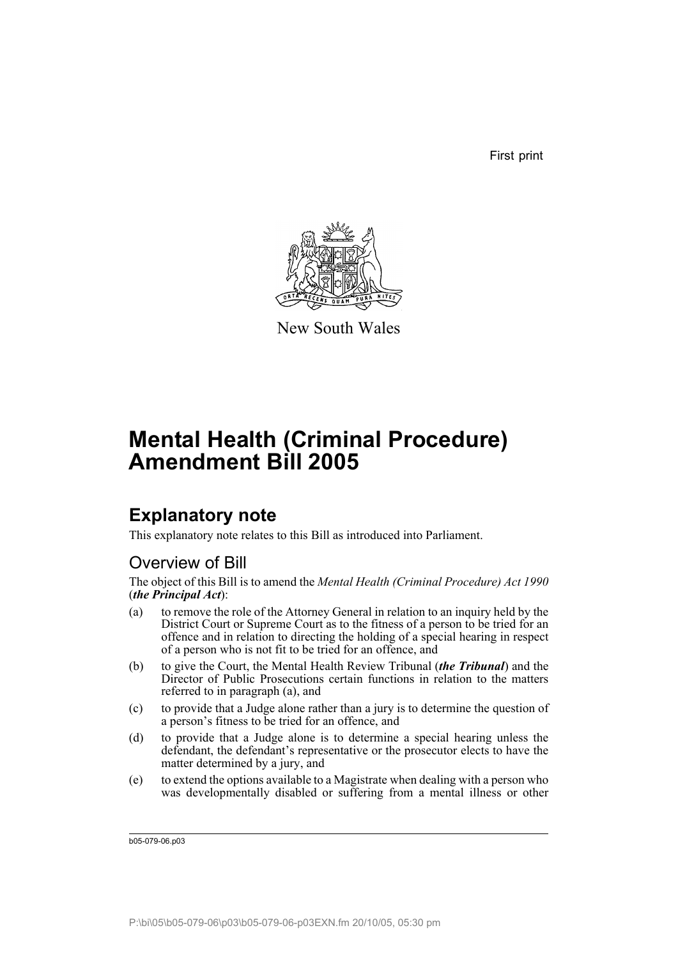First print



New South Wales

# **Mental Health (Criminal Procedure) Amendment Bill 2005**

## **Explanatory note**

This explanatory note relates to this Bill as introduced into Parliament.

## Overview of Bill

The object of this Bill is to amend the *Mental Health (Criminal Procedure) Act 1990* (*the Principal Act*):

- (a) to remove the role of the Attorney General in relation to an inquiry held by the District Court or Supreme Court as to the fitness of a person to be tried for an offence and in relation to directing the holding of a special hearing in respect of a person who is not fit to be tried for an offence, and
- (b) to give the Court, the Mental Health Review Tribunal (*the Tribunal*) and the Director of Public Prosecutions certain functions in relation to the matters referred to in paragraph (a), and
- (c) to provide that a Judge alone rather than a jury is to determine the question of a person's fitness to be tried for an offence, and
- (d) to provide that a Judge alone is to determine a special hearing unless the defendant, the defendant's representative or the prosecutor elects to have the matter determined by a jury, and
- (e) to extend the options available to a Magistrate when dealing with a person who was developmentally disabled or suffering from a mental illness or other

b05-079-06.p03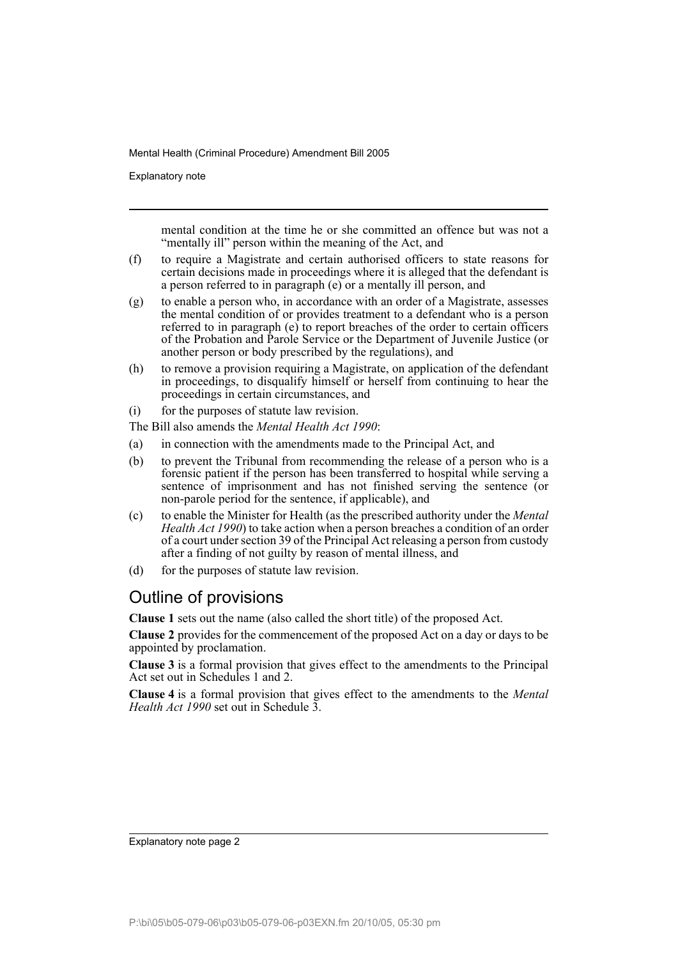Explanatory note

mental condition at the time he or she committed an offence but was not a "mentally ill" person within the meaning of the Act, and

- (f) to require a Magistrate and certain authorised officers to state reasons for certain decisions made in proceedings where it is alleged that the defendant is a person referred to in paragraph (e) or a mentally ill person, and
- (g) to enable a person who, in accordance with an order of a Magistrate, assesses the mental condition of or provides treatment to a defendant who is a person referred to in paragraph  $(e)$  to report breaches of the order to certain officers of the Probation and Parole Service or the Department of Juvenile Justice (or another person or body prescribed by the regulations), and
- (h) to remove a provision requiring a Magistrate, on application of the defendant in proceedings, to disqualify himself or herself from continuing to hear the proceedings in certain circumstances, and
- (i) for the purposes of statute law revision.

The Bill also amends the *Mental Health Act 1990*:

- (a) in connection with the amendments made to the Principal Act, and
- (b) to prevent the Tribunal from recommending the release of a person who is a forensic patient if the person has been transferred to hospital while serving a sentence of imprisonment and has not finished serving the sentence (or non-parole period for the sentence, if applicable), and
- (c) to enable the Minister for Health (as the prescribed authority under the *Mental Health Act 1990*) to take action when a person breaches a condition of an order of a court under section 39 of the Principal Act releasing a person from custody after a finding of not guilty by reason of mental illness, and
- (d) for the purposes of statute law revision.

## Outline of provisions

**Clause 1** sets out the name (also called the short title) of the proposed Act.

**Clause 2** provides for the commencement of the proposed Act on a day or days to be appointed by proclamation.

**Clause 3** is a formal provision that gives effect to the amendments to the Principal Act set out in Schedules 1 and 2.

**Clause 4** is a formal provision that gives effect to the amendments to the *Mental Health Act 1990* set out in Schedule 3.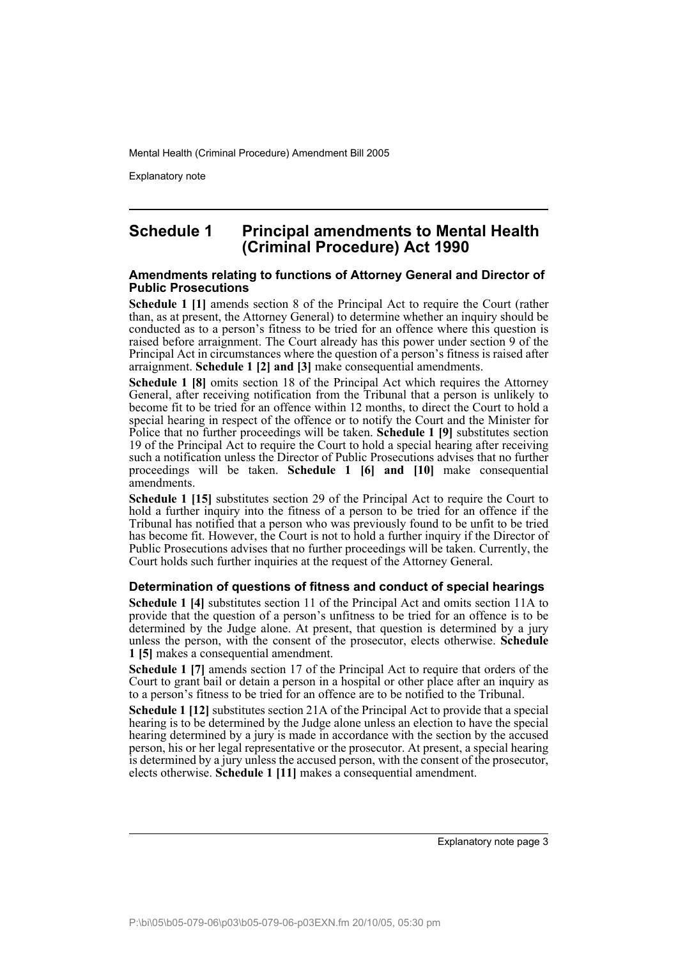Explanatory note

## **Schedule 1 Principal amendments to Mental Health (Criminal Procedure) Act 1990**

### **Amendments relating to functions of Attorney General and Director of Public Prosecutions**

**Schedule 1 [1]** amends section 8 of the Principal Act to require the Court (rather than, as at present, the Attorney General) to determine whether an inquiry should be conducted as to a person's fitness to be tried for an offence where this question is raised before arraignment. The Court already has this power under section 9 of the Principal Act in circumstances where the question of a person's fitness is raised after arraignment. **Schedule 1 [2] and [3]** make consequential amendments.

**Schedule 1 [8]** omits section 18 of the Principal Act which requires the Attorney General, after receiving notification from the Tribunal that a person is unlikely to become fit to be tried for an offence within 12 months, to direct the Court to hold a special hearing in respect of the offence or to notify the Court and the Minister for Police that no further proceedings will be taken. **Schedule 1 [9]** substitutes section 19 of the Principal Act to require the Court to hold a special hearing after receiving such a notification unless the Director of Public Prosecutions advises that no further proceedings will be taken. **Schedule 1 [6] and [10]** make consequential amendments.

**Schedule 1 [15]** substitutes section 29 of the Principal Act to require the Court to hold a further inquiry into the fitness of a person to be tried for an offence if the Tribunal has notified that a person who was previously found to be unfit to be tried has become fit. However, the Court is not to hold a further inquiry if the Director of Public Prosecutions advises that no further proceedings will be taken. Currently, the Court holds such further inquiries at the request of the Attorney General.

### **Determination of questions of fitness and conduct of special hearings**

**Schedule 1 [4]** substitutes section 11 of the Principal Act and omits section 11A to provide that the question of a person's unfitness to be tried for an offence is to be determined by the Judge alone. At present, that question is determined by a jury unless the person, with the consent of the prosecutor, elects otherwise. **Schedule 1 [5]** makes a consequential amendment.

**Schedule 1 [7]** amends section 17 of the Principal Act to require that orders of the Court to grant bail or detain a person in a hospital or other place after an inquiry as to a person's fitness to be tried for an offence are to be notified to the Tribunal.

**Schedule 1 [12]** substitutes section 21A of the Principal Act to provide that a special hearing is to be determined by the Judge alone unless an election to have the special hearing determined by a jury is made in accordance with the section by the accused person, his or her legal representative or the prosecutor. At present, a special hearing is determined by a jury unless the accused person, with the consent of the prosecutor, elects otherwise. **Schedule 1 [11]** makes a consequential amendment.

Explanatory note page 3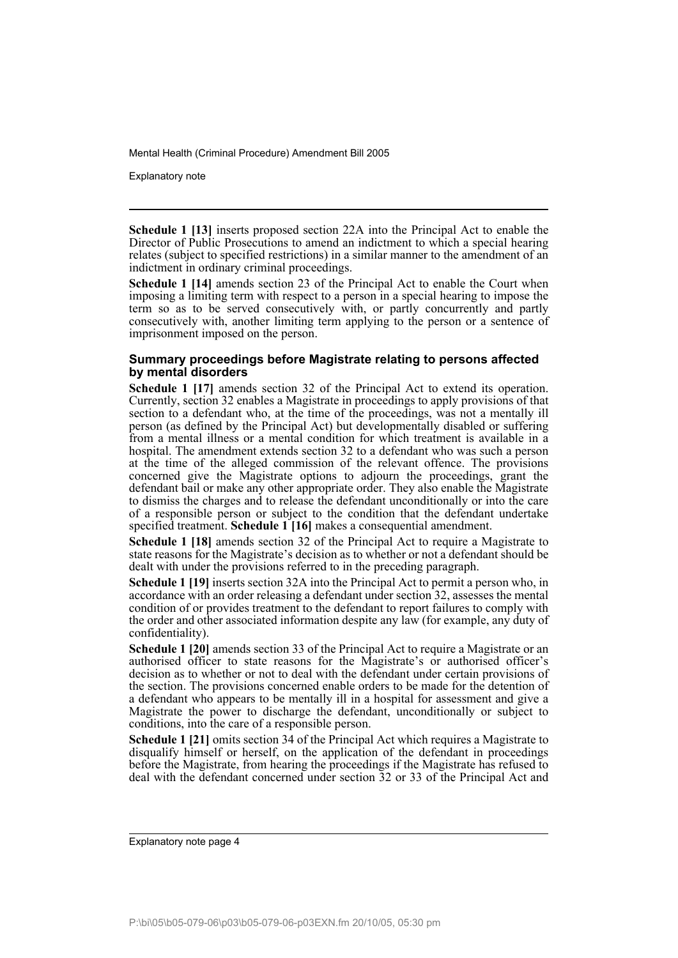Explanatory note

**Schedule 1 [13]** inserts proposed section 22A into the Principal Act to enable the Director of Public Prosecutions to amend an indictment to which a special hearing relates (subject to specified restrictions) in a similar manner to the amendment of an indictment in ordinary criminal proceedings.

**Schedule 1 [14]** amends section 23 of the Principal Act to enable the Court when imposing a limiting term with respect to a person in a special hearing to impose the term so as to be served consecutively with, or partly concurrently and partly consecutively with, another limiting term applying to the person or a sentence of imprisonment imposed on the person.

### **Summary proceedings before Magistrate relating to persons affected by mental disorders**

**Schedule 1 [17]** amends section 32 of the Principal Act to extend its operation. Currently, section 32 enables a Magistrate in proceedings to apply provisions of that section to a defendant who, at the time of the proceedings, was not a mentally ill person (as defined by the Principal Act) but developmentally disabled or suffering from a mental illness or a mental condition for which treatment is available in a hospital. The amendment extends section 32 to a defendant who was such a person at the time of the alleged commission of the relevant offence. The provisions concerned give the Magistrate options to adjourn the proceedings, grant the defendant bail or make any other appropriate order. They also enable the Magistrate to dismiss the charges and to release the defendant unconditionally or into the care of a responsible person or subject to the condition that the defendant undertake specified treatment. **Schedule 1 [16]** makes a consequential amendment.

**Schedule 1 [18]** amends section 32 of the Principal Act to require a Magistrate to state reasons for the Magistrate's decision as to whether or not a defendant should be dealt with under the provisions referred to in the preceding paragraph.

**Schedule 1 [19]** inserts section 32A into the Principal Act to permit a person who, in accordance with an order releasing a defendant under section 32, assesses the mental condition of or provides treatment to the defendant to report failures to comply with the order and other associated information despite any law (for example, any duty of confidentiality).

**Schedule 1 [20]** amends section 33 of the Principal Act to require a Magistrate or an authorised officer to state reasons for the Magistrate's or authorised officer's decision as to whether or not to deal with the defendant under certain provisions of the section. The provisions concerned enable orders to be made for the detention of a defendant who appears to be mentally ill in a hospital for assessment and give a Magistrate the power to discharge the defendant, unconditionally or subject to conditions, into the care of a responsible person.

**Schedule 1 [21]** omits section 34 of the Principal Act which requires a Magistrate to disqualify himself or herself, on the application of the defendant in proceedings before the Magistrate, from hearing the proceedings if the Magistrate has refused to deal with the defendant concerned under section 32 or 33 of the Principal Act and

Explanatory note page 4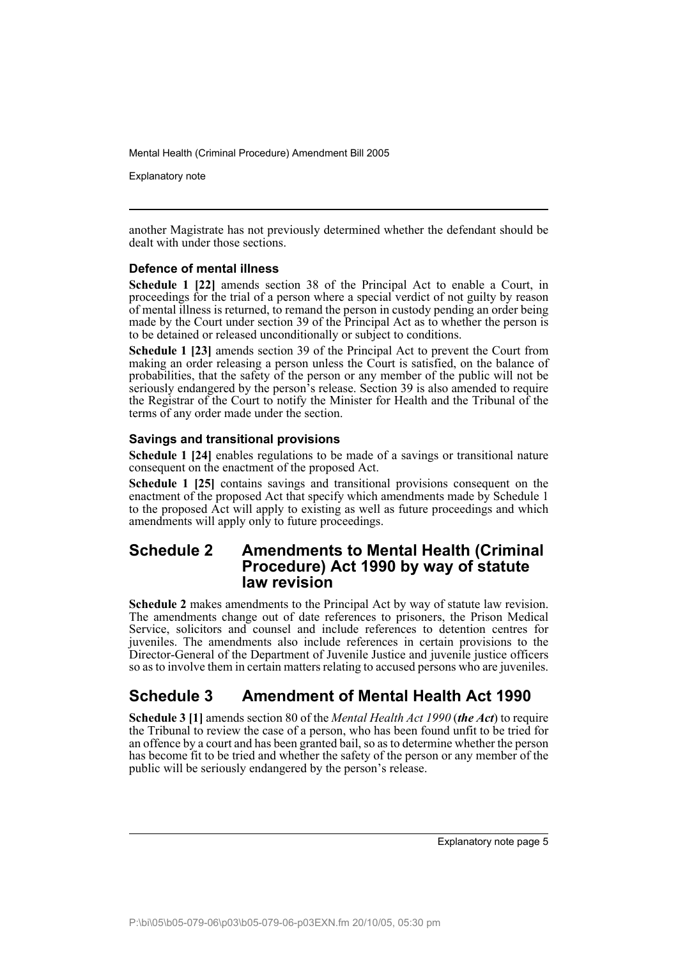Explanatory note

another Magistrate has not previously determined whether the defendant should be dealt with under those sections.

### **Defence of mental illness**

**Schedule 1 [22]** amends section 38 of the Principal Act to enable a Court, in proceedings for the trial of a person where a special verdict of not guilty by reason of mental illness is returned, to remand the person in custody pending an order being made by the Court under section 39 of the Principal Act as to whether the person is to be detained or released unconditionally or subject to conditions.

**Schedule 1 [23]** amends section 39 of the Principal Act to prevent the Court from making an order releasing a person unless the Court is satisfied, on the balance of probabilities, that the safety of the person or any member of the public will not be seriously endangered by the person's release. Section 39 is also amended to require the Registrar of the Court to notify the Minister for Health and the Tribunal of the terms of any order made under the section.

## **Savings and transitional provisions**

**Schedule 1 [24]** enables regulations to be made of a savings or transitional nature consequent on the enactment of the proposed Act.

**Schedule 1 [25]** contains savings and transitional provisions consequent on the enactment of the proposed Act that specify which amendments made by Schedule 1 to the proposed Act will apply to existing as well as future proceedings and which amendments will apply only to future proceedings.

## **Schedule 2 Amendments to Mental Health (Criminal Procedure) Act 1990 by way of statute law revision**

**Schedule 2** makes amendments to the Principal Act by way of statute law revision. The amendments change out of date references to prisoners, the Prison Medical Service, solicitors and counsel and include references to detention centres for juveniles. The amendments also include references in certain provisions to the Director-General of the Department of Juvenile Justice and juvenile justice officers so as to involve them in certain matters relating to accused persons who are juveniles.

## **Schedule 3 Amendment of Mental Health Act 1990**

**Schedule 3 [1]** amends section 80 of the *Mental Health Act 1990* (*the Act*) to require the Tribunal to review the case of a person, who has been found unfit to be tried for an offence by a court and has been granted bail, so as to determine whether the person has become fit to be tried and whether the safety of the person or any member of the public will be seriously endangered by the person's release.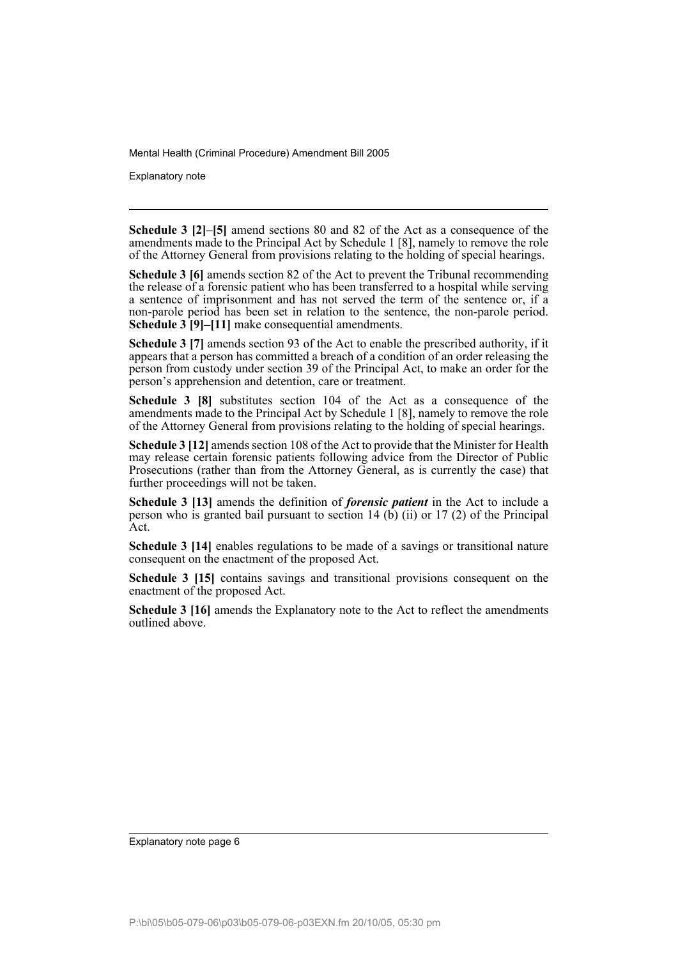Explanatory note

**Schedule 3 [2]–[5]** amend sections 80 and 82 of the Act as a consequence of the amendments made to the Principal Act by Schedule 1 [8], namely to remove the role of the Attorney General from provisions relating to the holding of special hearings.

**Schedule 3 [6]** amends section 82 of the Act to prevent the Tribunal recommending the release of a forensic patient who has been transferred to a hospital while serving a sentence of imprisonment and has not served the term of the sentence or, if a non-parole period has been set in relation to the sentence, the non-parole period. **Schedule 3 [9]–[11]** make consequential amendments.

**Schedule 3 [7]** amends section 93 of the Act to enable the prescribed authority, if it appears that a person has committed a breach of a condition of an order releasing the person from custody under section 39 of the Principal Act, to make an order for the person's apprehension and detention, care or treatment.

**Schedule 3 [8]** substitutes section 104 of the Act as a consequence of the amendments made to the Principal Act by Schedule 1 [8], namely to remove the role of the Attorney General from provisions relating to the holding of special hearings.

**Schedule 3 [12]** amends section 108 of the Act to provide that the Minister for Health may release certain forensic patients following advice from the Director of Public Prosecutions (rather than from the Attorney General, as is currently the case) that further proceedings will not be taken.

**Schedule 3 [13]** amends the definition of *forensic patient* in the Act to include a person who is granted bail pursuant to section 14 ( $\overline{b}$ ) (ii) or 17 (2) of the Principal Act.

**Schedule 3 [14]** enables regulations to be made of a savings or transitional nature consequent on the enactment of the proposed Act.

**Schedule 3 [15]** contains savings and transitional provisions consequent on the enactment of the proposed Act.

**Schedule 3 [16]** amends the Explanatory note to the Act to reflect the amendments outlined above.

Explanatory note page 6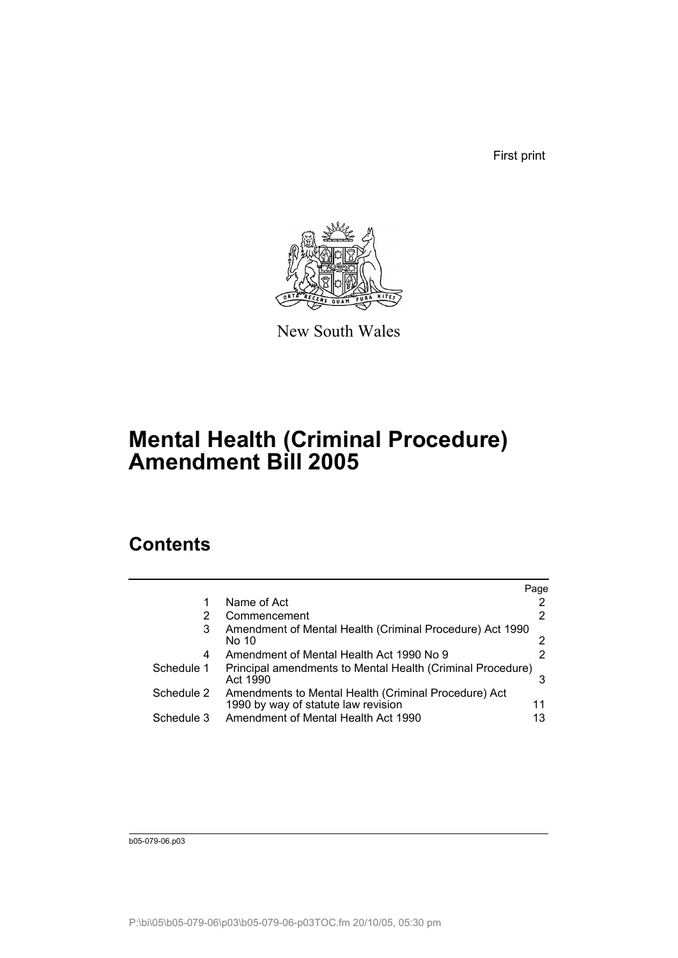First print



New South Wales

## **Mental Health (Criminal Procedure) Amendment Bill 2005**

## **Contents**

|            |                                                                                             | Page |
|------------|---------------------------------------------------------------------------------------------|------|
|            | Name of Act                                                                                 |      |
| 2          | Commencement                                                                                | 2    |
| 3          | Amendment of Mental Health (Criminal Procedure) Act 1990<br>No 10                           |      |
| 4          | Amendment of Mental Health Act 1990 No 9                                                    |      |
| Schedule 1 | Principal amendments to Mental Health (Criminal Procedure)<br>Act 1990                      |      |
| Schedule 2 | Amendments to Mental Health (Criminal Procedure) Act<br>1990 by way of statute law revision | 11   |
| Schedule 3 | Amendment of Mental Health Act 1990                                                         | 13   |
|            |                                                                                             |      |

b05-079-06.p03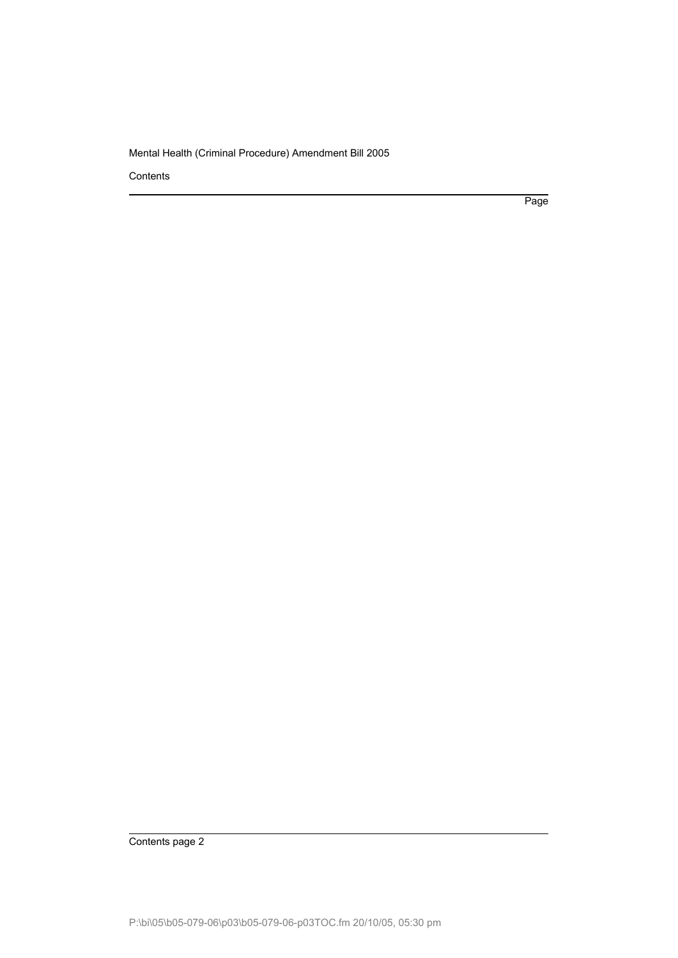Contents

Page

Contents page 2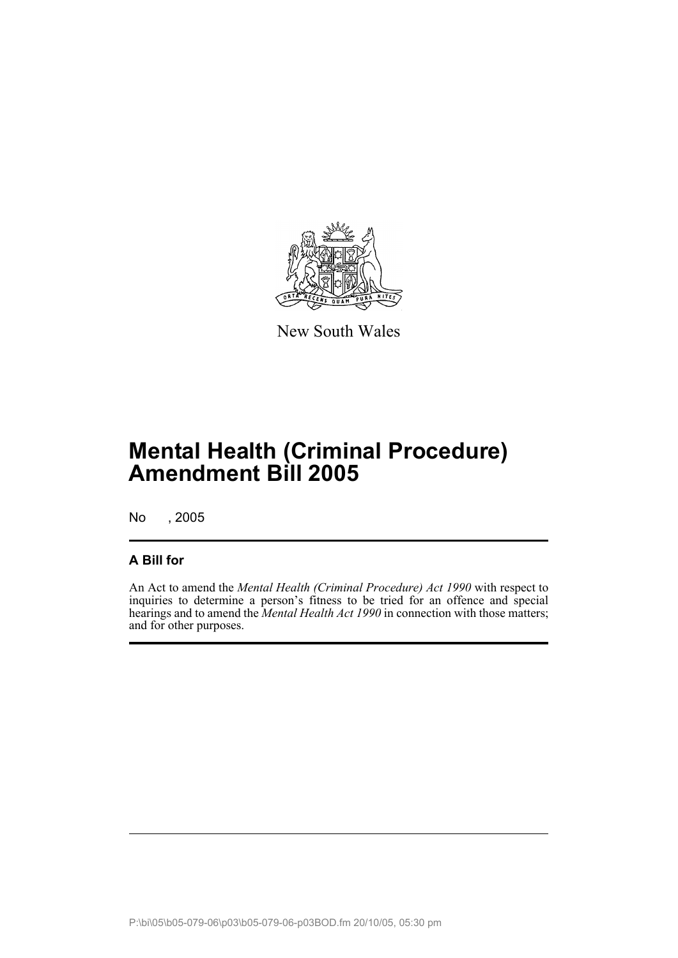

New South Wales

## **Mental Health (Criminal Procedure) Amendment Bill 2005**

No , 2005

## **A Bill for**

An Act to amend the *Mental Health (Criminal Procedure) Act 1990* with respect to inquiries to determine a person's fitness to be tried for an offence and special hearings and to amend the *Mental Health Act 1990* in connection with those matters; and for other purposes.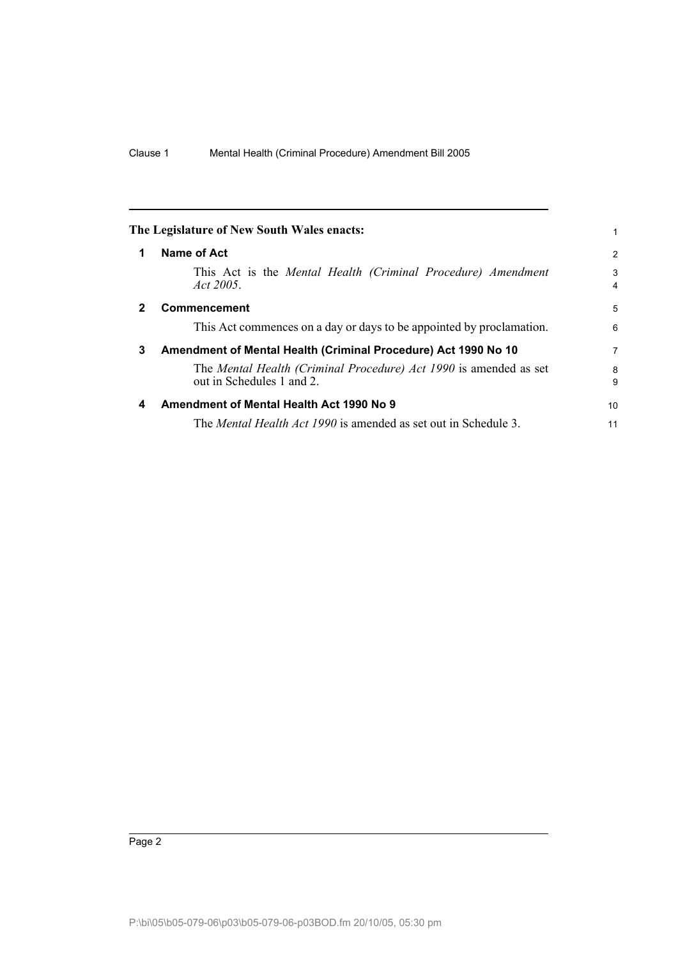|              | The Legislature of New South Wales enacts:                                                     | 1                   |
|--------------|------------------------------------------------------------------------------------------------|---------------------|
| 1            | Name of Act                                                                                    | $\overline{2}$      |
|              | This Act is the Mental Health (Criminal Procedure) Amendment<br>Act 2005.                      | 3<br>$\overline{4}$ |
| $\mathbf{2}$ | <b>Commencement</b>                                                                            | 5                   |
|              | This Act commences on a day or days to be appointed by proclamation.                           | 6                   |
| 3            | Amendment of Mental Health (Criminal Procedure) Act 1990 No 10                                 | $\overline{7}$      |
|              | The Mental Health (Criminal Procedure) Act 1990 is amended as set<br>out in Schedules 1 and 2. | 8<br>9              |
| 4            | Amendment of Mental Health Act 1990 No 9                                                       | 10                  |
|              | The <i>Mental Health Act 1990</i> is amended as set out in Schedule 3.                         | 11                  |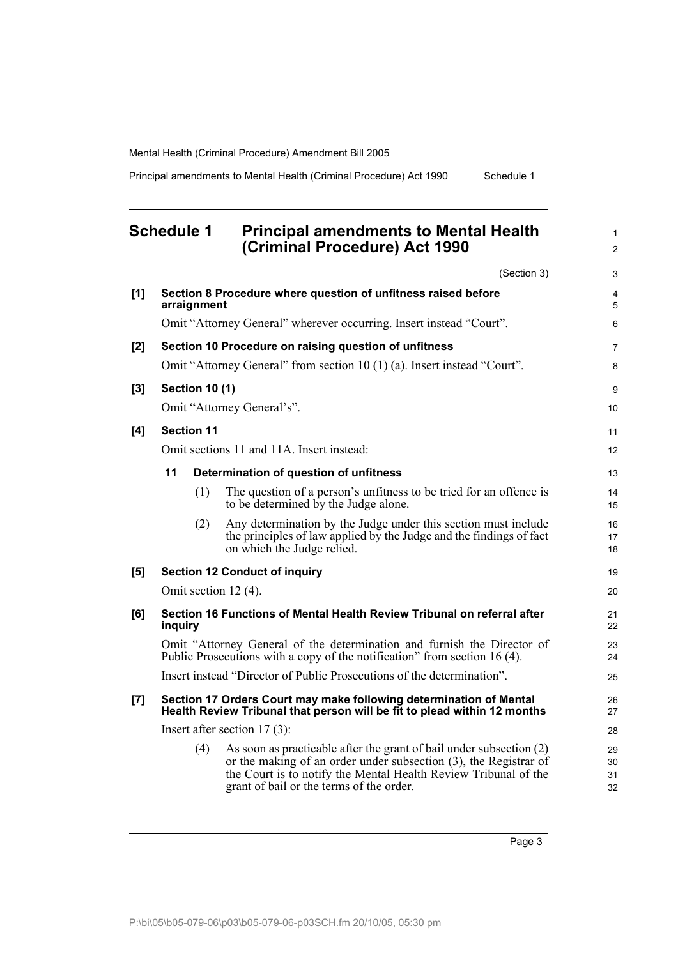Principal amendments to Mental Health (Criminal Procedure) Act 1990 Schedule 1

| <b>Schedule 1</b> | <b>Principal amendments to Mental Health</b> |
|-------------------|----------------------------------------------|
|                   | (Criminal Procedure) Act 1990                |

(Section 3) **[1] Section 8 Procedure where question of unfitness raised before arraignment** Omit "Attorney General" wherever occurring. Insert instead "Court". **[2] Section 10 Procedure on raising question of unfitness**  Omit "Attorney General" from section 10 (1) (a). Insert instead "Court". **[3] Section 10 (1)** Omit "Attorney General's". **[4] Section 11** Omit sections 11 and 11A. Insert instead: **11 Determination of question of unfitness** (1) The question of a person's unfitness to be tried for an offence is to be determined by the Judge alone. (2) Any determination by the Judge under this section must include the principles of law applied by the Judge and the findings of fact on which the Judge relied. **[5] Section 12 Conduct of inquiry** Omit section 12 (4). **[6] Section 16 Functions of Mental Health Review Tribunal on referral after inquiry** Omit "Attorney General of the determination and furnish the Director of Public Prosecutions with a copy of the notification" from section 16 (4). Insert instead "Director of Public Prosecutions of the determination". **[7] Section 17 Orders Court may make following determination of Mental Health Review Tribunal that person will be fit to plead within 12 months** Insert after section 17 (3): (4) As soon as practicable after the grant of bail under subsection (2) or the making of an order under subsection (3), the Registrar of the Court is to notify the Mental Health Review Tribunal of the 3 4 5 6 7 8 9 10 11 12 13 14 15 16 17 18 19 20 21 22 23 24 25 26 27 28 29 30 31

Page 3

32

1  $\mathfrak{p}$ 

grant of bail or the terms of the order.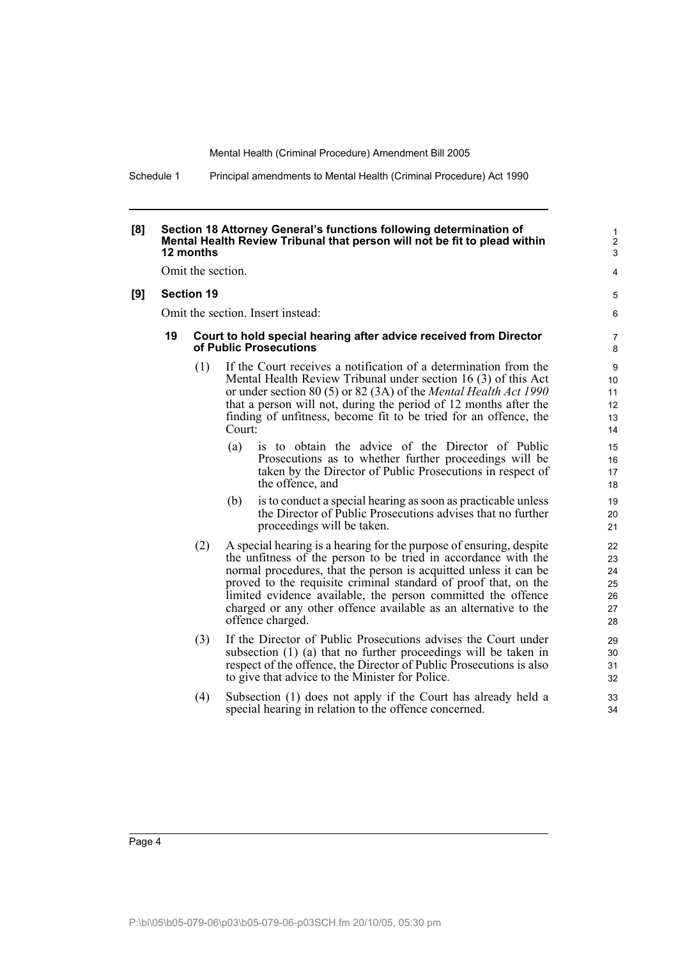Schedule 1 Principal amendments to Mental Health (Criminal Procedure) Act 1990

#### **[8] Section 18 Attorney General's functions following determination of Mental Health Review Tribunal that person will not be fit to plead within 12 months**

Omit the section.

#### **[9] Section 19**

Omit the section. Insert instead:

#### **19 Court to hold special hearing after advice received from Director of Public Prosecutions**

- (1) If the Court receives a notification of a determination from the Mental Health Review Tribunal under section 16 (3) of this Act or under section 80 (5) or 82 (3A) of the *Mental Health Act 1990* that a person will not, during the period of 12 months after the finding of unfitness, become fit to be tried for an offence, the Court:
	- (a) is to obtain the advice of the Director of Public Prosecutions as to whether further proceedings will be taken by the Director of Public Prosecutions in respect of the offence, and

- (b) is to conduct a special hearing as soon as practicable unless the Director of Public Prosecutions advises that no further proceedings will be taken.
- (2) A special hearing is a hearing for the purpose of ensuring, despite the unfitness of the person to be tried in accordance with the normal procedures, that the person is acquitted unless it can be proved to the requisite criminal standard of proof that, on the limited evidence available, the person committed the offence charged or any other offence available as an alternative to the offence charged.
- (3) If the Director of Public Prosecutions advises the Court under subsection (1) (a) that no further proceedings will be taken in respect of the offence, the Director of Public Prosecutions is also to give that advice to the Minister for Police.
- (4) Subsection (1) does not apply if the Court has already held a special hearing in relation to the offence concerned.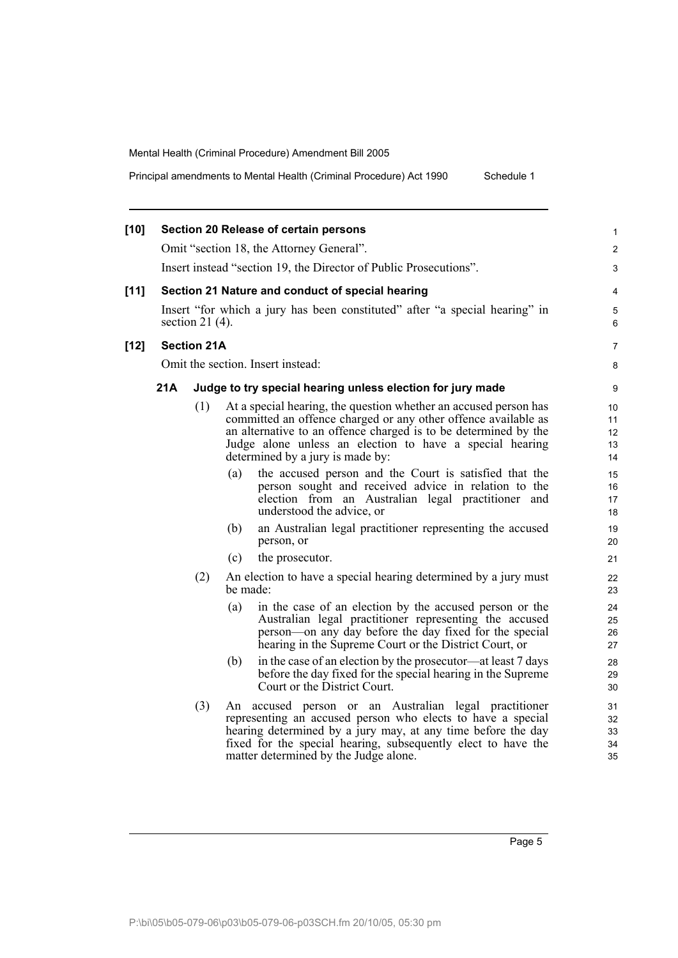Principal amendments to Mental Health (Criminal Procedure) Act 1990 Schedule 1

| $[10]$ |     |                    | Section 20 Release of certain persons                                                                                                                                                                                                                                                                 | 1                          |
|--------|-----|--------------------|-------------------------------------------------------------------------------------------------------------------------------------------------------------------------------------------------------------------------------------------------------------------------------------------------------|----------------------------|
|        |     |                    | Omit "section 18, the Attorney General".                                                                                                                                                                                                                                                              | 2                          |
|        |     |                    | Insert instead "section 19, the Director of Public Prosecutions".                                                                                                                                                                                                                                     | 3                          |
| $[11]$ |     |                    | Section 21 Nature and conduct of special hearing                                                                                                                                                                                                                                                      | 4                          |
|        |     | section 21 $(4)$ . | Insert "for which a jury has been constituted" after "a special hearing" in                                                                                                                                                                                                                           | 5<br>6                     |
| $[12]$ |     | <b>Section 21A</b> |                                                                                                                                                                                                                                                                                                       | 7                          |
|        |     |                    | Omit the section. Insert instead:                                                                                                                                                                                                                                                                     | 8                          |
|        | 21A |                    | Judge to try special hearing unless election for jury made                                                                                                                                                                                                                                            | 9                          |
|        |     | (1)                | At a special hearing, the question whether an accused person has<br>committed an offence charged or any other offence available as<br>an alternative to an offence charged is to be determined by the<br>Judge alone unless an election to have a special hearing<br>determined by a jury is made by: | 10<br>11<br>12<br>13<br>14 |
|        |     |                    | the accused person and the Court is satisfied that the<br>(a)<br>person sought and received advice in relation to the<br>election from an Australian legal practitioner and<br>understood the advice, or                                                                                              | 15<br>16<br>17<br>18       |
|        |     |                    | (b)<br>an Australian legal practitioner representing the accused<br>person, or                                                                                                                                                                                                                        | 19<br>20                   |
|        |     |                    | (c)<br>the prosecutor.                                                                                                                                                                                                                                                                                | 21                         |
|        |     | (2)                | An election to have a special hearing determined by a jury must<br>be made:                                                                                                                                                                                                                           | 22<br>23                   |
|        |     |                    | in the case of an election by the accused person or the<br>(a)<br>Australian legal practitioner representing the accused<br>person—on any day before the day fixed for the special<br>hearing in the Supreme Court or the District Court, or                                                          | 24<br>25<br>26<br>27       |
|        |     |                    | (b)<br>in the case of an election by the prosecutor—at least 7 days<br>before the day fixed for the special hearing in the Supreme<br>Court or the District Court.                                                                                                                                    | 28<br>29<br>30             |
|        |     | (3)                | An accused person or an Australian legal practitioner<br>representing an accused person who elects to have a special<br>hearing determined by a jury may, at any time before the day<br>fixed for the special hearing, subsequently elect to have the<br>matter determined by the Judge alone.        | 31<br>32<br>33<br>34<br>35 |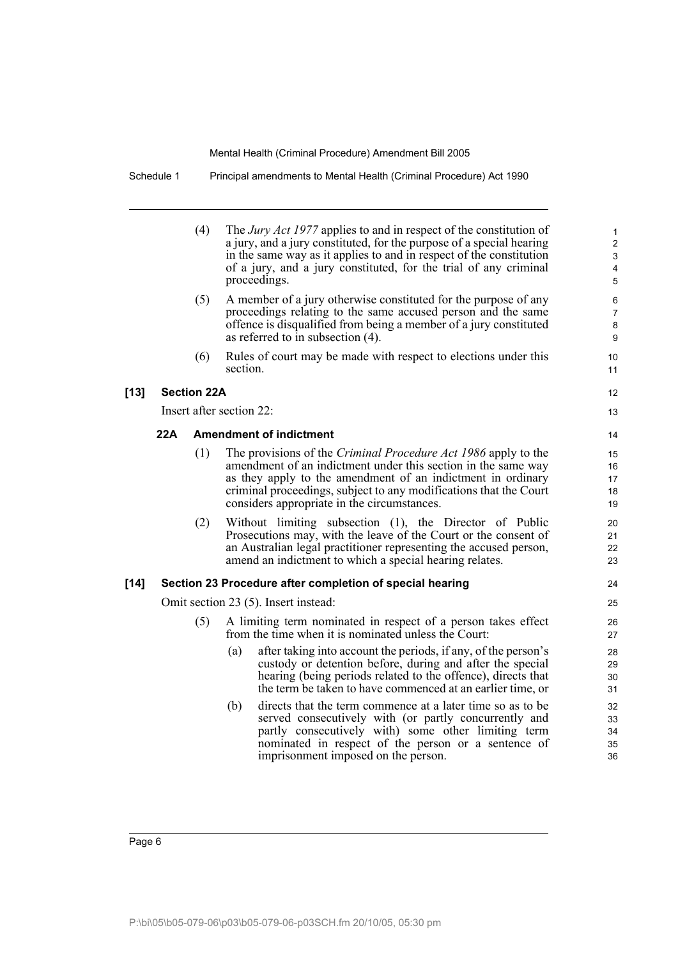Schedule 1 Principal amendments to Mental Health (Criminal Procedure) Act 1990

|        |     | (4)                |                          | The <i>Jury Act 1977</i> applies to and in respect of the constitution of<br>a jury, and a jury constituted, for the purpose of a special hearing<br>in the same way as it applies to and in respect of the constitution<br>of a jury, and a jury constituted, for the trial of any criminal<br>proceedings.              | 1<br>2<br>3<br>4<br>5      |
|--------|-----|--------------------|--------------------------|---------------------------------------------------------------------------------------------------------------------------------------------------------------------------------------------------------------------------------------------------------------------------------------------------------------------------|----------------------------|
|        |     | (5)                |                          | A member of a jury otherwise constituted for the purpose of any<br>proceedings relating to the same accused person and the same<br>offence is disqualified from being a member of a jury constituted<br>as referred to in subsection $(4)$ .                                                                              | 6<br>7<br>8<br>9           |
|        |     | (6)                | section.                 | Rules of court may be made with respect to elections under this                                                                                                                                                                                                                                                           | 10<br>11                   |
| $[13]$ |     | <b>Section 22A</b> |                          |                                                                                                                                                                                                                                                                                                                           | 12                         |
|        |     |                    | Insert after section 22: |                                                                                                                                                                                                                                                                                                                           | 13                         |
|        | 22A |                    |                          | <b>Amendment of indictment</b>                                                                                                                                                                                                                                                                                            | 14                         |
|        |     | (1)                |                          | The provisions of the <i>Criminal Procedure Act 1986</i> apply to the<br>amendment of an indictment under this section in the same way<br>as they apply to the amendment of an indictment in ordinary<br>criminal proceedings, subject to any modifications that the Court<br>considers appropriate in the circumstances. | 15<br>16<br>17<br>18<br>19 |
|        |     | (2)                |                          | Without limiting subsection (1), the Director of Public<br>Prosecutions may, with the leave of the Court or the consent of<br>an Australian legal practitioner representing the accused person,<br>amend an indictment to which a special hearing relates.                                                                | 20<br>21<br>22<br>23       |
| $[14]$ |     |                    |                          | Section 23 Procedure after completion of special hearing                                                                                                                                                                                                                                                                  | 24                         |
|        |     |                    |                          | Omit section 23 (5). Insert instead:                                                                                                                                                                                                                                                                                      | 25                         |
|        |     | (5)                |                          | A limiting term nominated in respect of a person takes effect<br>from the time when it is nominated unless the Court:                                                                                                                                                                                                     | 26<br>27                   |
|        |     |                    | (a)                      | after taking into account the periods, if any, of the person's<br>custody or detention before, during and after the special<br>hearing (being periods related to the offence), directs that<br>the term be taken to have commenced at an earlier time, or                                                                 | 28<br>29<br>30<br>31       |
|        |     |                    | (b)                      | directs that the term commence at a later time so as to be<br>served consecutively with (or partly concurrently and<br>partly consecutively with) some other limiting term<br>nominated in respect of the person or a sentence of<br>imprisonment imposed on the person.                                                  | 32<br>33<br>34<br>35<br>36 |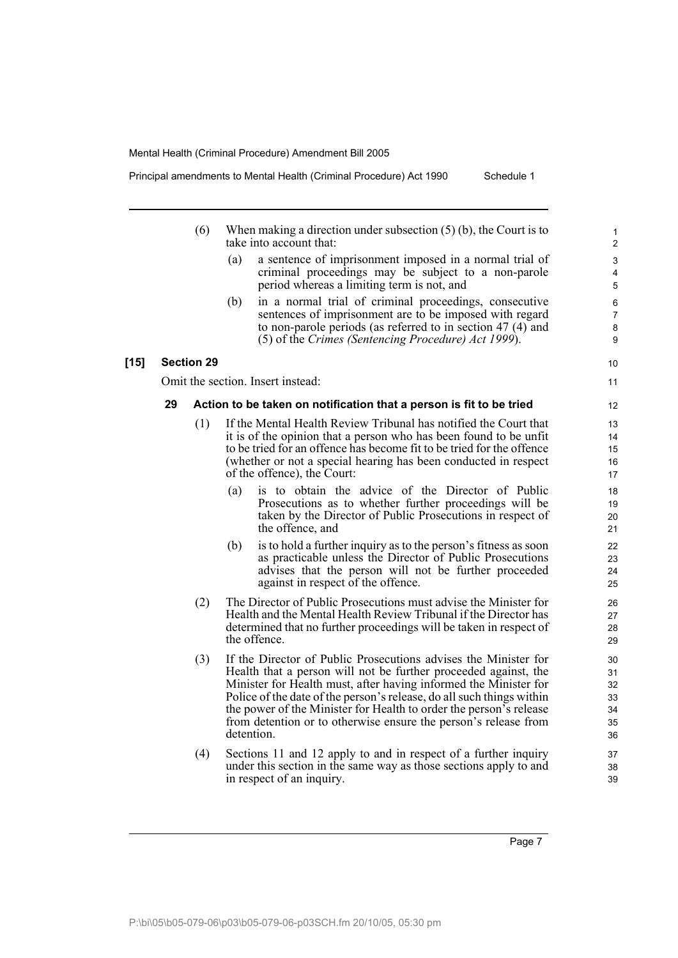Principal amendments to Mental Health (Criminal Procedure) Act 1990 Schedule 1

- (6) When making a direction under subsection (5) (b), the Court is to take into account that:
	- (a) a sentence of imprisonment imposed in a normal trial of criminal proceedings may be subject to a non-parole period whereas a limiting term is not, and
	- (b) in a normal trial of criminal proceedings, consecutive sentences of imprisonment are to be imposed with regard to non-parole periods (as referred to in section 47 (4) and (5) of the *Crimes (Sentencing Procedure) Act 1999*).

#### **[15] Section 29**

Omit the section. Insert instead:

### **29 Action to be taken on notification that a person is fit to be tried**

- (1) If the Mental Health Review Tribunal has notified the Court that it is of the opinion that a person who has been found to be unfit to be tried for an offence has become fit to be tried for the offence (whether or not a special hearing has been conducted in respect of the offence), the Court:
	- (a) is to obtain the advice of the Director of Public Prosecutions as to whether further proceedings will be taken by the Director of Public Prosecutions in respect of the offence, and
	- (b) is to hold a further inquiry as to the person's fitness as soon as practicable unless the Director of Public Prosecutions advises that the person will not be further proceeded against in respect of the offence.
- (2) The Director of Public Prosecutions must advise the Minister for Health and the Mental Health Review Tribunal if the Director has determined that no further proceedings will be taken in respect of the offence.
- (3) If the Director of Public Prosecutions advises the Minister for Health that a person will not be further proceeded against, the Minister for Health must, after having informed the Minister for Police of the date of the person's release, do all such things within the power of the Minister for Health to order the person's release from detention or to otherwise ensure the person's release from detention.
- (4) Sections 11 and 12 apply to and in respect of a further inquiry under this section in the same way as those sections apply to and in respect of an inquiry.

Page 7

10 11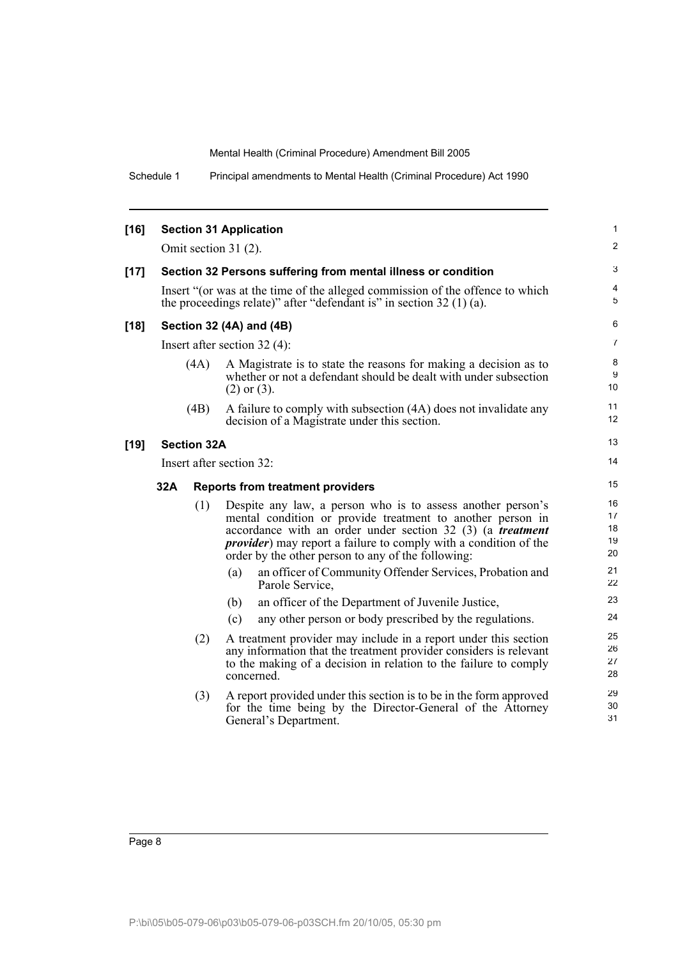Schedule 1 Principal amendments to Mental Health (Criminal Procedure) Act 1990

| $[16]$ |     |                    | <b>Section 31 Application</b><br>Omit section $31$ (2).                                                                                                                                                                                                                                                                                                                                             | $\mathbf{1}$<br>$\overline{2}$   |
|--------|-----|--------------------|-----------------------------------------------------------------------------------------------------------------------------------------------------------------------------------------------------------------------------------------------------------------------------------------------------------------------------------------------------------------------------------------------------|----------------------------------|
| $[17]$ |     |                    | Section 32 Persons suffering from mental illness or condition                                                                                                                                                                                                                                                                                                                                       | 3                                |
|        |     |                    | Insert "(or was at the time of the alleged commission of the offence to which<br>the proceedings relate)" after "defendant is" in section $32(1)(a)$ .                                                                                                                                                                                                                                              | 4<br>5                           |
| $[18]$ |     |                    | Section 32 (4A) and (4B)                                                                                                                                                                                                                                                                                                                                                                            | 6                                |
|        |     |                    | Insert after section $32(4)$ :                                                                                                                                                                                                                                                                                                                                                                      | $\overline{7}$                   |
|        |     | (4A)               | A Magistrate is to state the reasons for making a decision as to<br>whether or not a defendant should be dealt with under subsection<br>$(2)$ or $(3)$ .                                                                                                                                                                                                                                            | 8<br>9<br>10                     |
|        |     | (4B)               | A failure to comply with subsection (4A) does not invalidate any<br>decision of a Magistrate under this section.                                                                                                                                                                                                                                                                                    | 11<br>12                         |
| $[19]$ |     | <b>Section 32A</b> |                                                                                                                                                                                                                                                                                                                                                                                                     | 13                               |
|        |     |                    | Insert after section 32:                                                                                                                                                                                                                                                                                                                                                                            | 14                               |
|        | 32A |                    | <b>Reports from treatment providers</b>                                                                                                                                                                                                                                                                                                                                                             | 15                               |
|        |     | (1)                | Despite any law, a person who is to assess another person's<br>mental condition or provide treatment to another person in<br>accordance with an order under section 32 (3) (a <i>treatment</i><br><i>provider</i> ) may report a failure to comply with a condition of the<br>order by the other person to any of the following:<br>an officer of Community Offender Services, Probation and<br>(a) | 16<br>17<br>18<br>19<br>20<br>21 |
|        |     |                    | Parole Service.                                                                                                                                                                                                                                                                                                                                                                                     | 22                               |
|        |     |                    | an officer of the Department of Juvenile Justice,<br>(b)                                                                                                                                                                                                                                                                                                                                            | 23<br>24                         |
|        |     |                    | any other person or body prescribed by the regulations.<br>(c)                                                                                                                                                                                                                                                                                                                                      | 25                               |
|        |     | (2)                | A treatment provider may include in a report under this section<br>any information that the treatment provider considers is relevant<br>to the making of a decision in relation to the failure to comply<br>concerned.                                                                                                                                                                              | 26<br>27<br>28                   |
|        |     | (3)                | A report provided under this section is to be in the form approved<br>for the time being by the Director-General of the Attorney<br>General's Department.                                                                                                                                                                                                                                           | 29<br>30<br>31                   |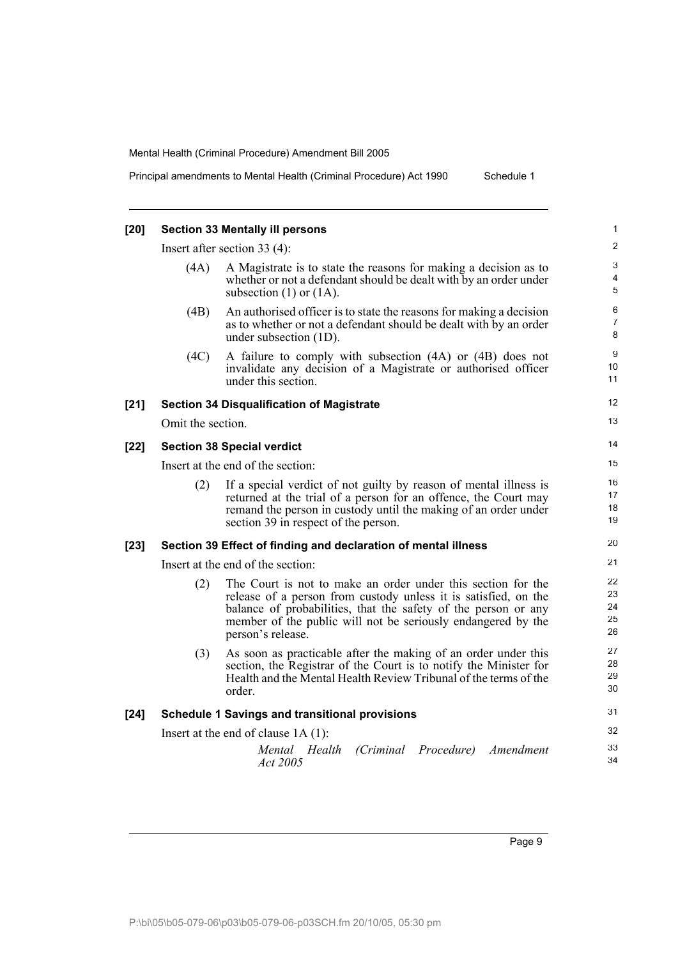Principal amendments to Mental Health (Criminal Procedure) Act 1990 Schedule 1

| $[20]$ |                   |                                                                                                                                                                                                                                                                                        |                            |
|--------|-------------------|----------------------------------------------------------------------------------------------------------------------------------------------------------------------------------------------------------------------------------------------------------------------------------------|----------------------------|
|        |                   | <b>Section 33 Mentally ill persons</b>                                                                                                                                                                                                                                                 | $\mathbf{1}$               |
|        |                   | Insert after section $33(4)$ :                                                                                                                                                                                                                                                         | 2                          |
|        | (4A)              | A Magistrate is to state the reasons for making a decision as to<br>whether or not a defendant should be dealt with by an order under<br>subsection $(1)$ or $(1A)$ .                                                                                                                  | 3<br>4<br>5                |
|        | (4B)              | An authorised officer is to state the reasons for making a decision<br>as to whether or not a defendant should be dealt with by an order<br>under subsection (1D).                                                                                                                     | 6<br>7<br>8                |
|        | (4C)              | A failure to comply with subsection (4A) or (4B) does not<br>invalidate any decision of a Magistrate or authorised officer<br>under this section.                                                                                                                                      | 9<br>10<br>11              |
| $[21]$ |                   | <b>Section 34 Disqualification of Magistrate</b>                                                                                                                                                                                                                                       | 12                         |
|        | Omit the section. |                                                                                                                                                                                                                                                                                        | 13                         |
| $[22]$ |                   | <b>Section 38 Special verdict</b>                                                                                                                                                                                                                                                      | 14                         |
|        |                   | Insert at the end of the section:                                                                                                                                                                                                                                                      | 15                         |
|        | (2)               | If a special verdict of not guilty by reason of mental illness is<br>returned at the trial of a person for an offence, the Court may<br>remand the person in custody until the making of an order under<br>section 39 in respect of the person.                                        | 16<br>17<br>18<br>19       |
| $[23]$ |                   | Section 39 Effect of finding and declaration of mental illness                                                                                                                                                                                                                         | 20                         |
|        |                   | Insert at the end of the section:                                                                                                                                                                                                                                                      | 21                         |
|        | (2)               | The Court is not to make an order under this section for the<br>release of a person from custody unless it is satisfied, on the<br>balance of probabilities, that the safety of the person or any<br>member of the public will not be seriously endangered by the<br>person's release. | 22<br>23<br>24<br>25<br>26 |
|        | (3)               | As soon as practicable after the making of an order under this<br>section, the Registrar of the Court is to notify the Minister for<br>Health and the Mental Health Review Tribunal of the terms of the<br>order.                                                                      | 27<br>28<br>29<br>30       |
| $[24]$ |                   | <b>Schedule 1 Savings and transitional provisions</b>                                                                                                                                                                                                                                  | 31                         |
|        |                   | Insert at the end of clause $1A(1)$ :                                                                                                                                                                                                                                                  | 32                         |
|        |                   | Mental Health<br>(Criminal Procedure)<br>Amendment<br>Act 2005                                                                                                                                                                                                                         | 33<br>34                   |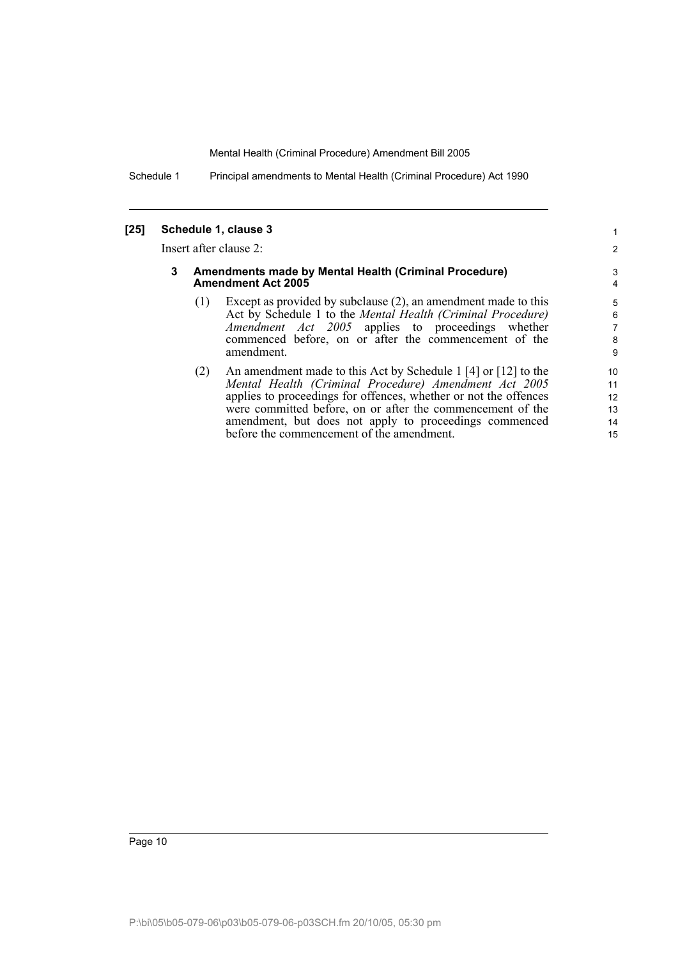Schedule 1 Principal amendments to Mental Health (Criminal Procedure) Act 1990

## **[25] Schedule 1, clause 3**

Insert after clause 2:

#### **3 Amendments made by Mental Health (Criminal Procedure) Amendment Act 2005**

(1) Except as provided by subclause (2), an amendment made to this Act by Schedule 1 to the *Mental Health (Criminal Procedure) Amendment Act 2005* applies to proceedings whether commenced before, on or after the commencement of the amendment.

(2) An amendment made to this Act by Schedule 1 [4] or [12] to the *Mental Health (Criminal Procedure) Amendment Act 2005* applies to proceedings for offences, whether or not the offences were committed before, on or after the commencement of the amendment, but does not apply to proceedings commenced before the commencement of the amendment.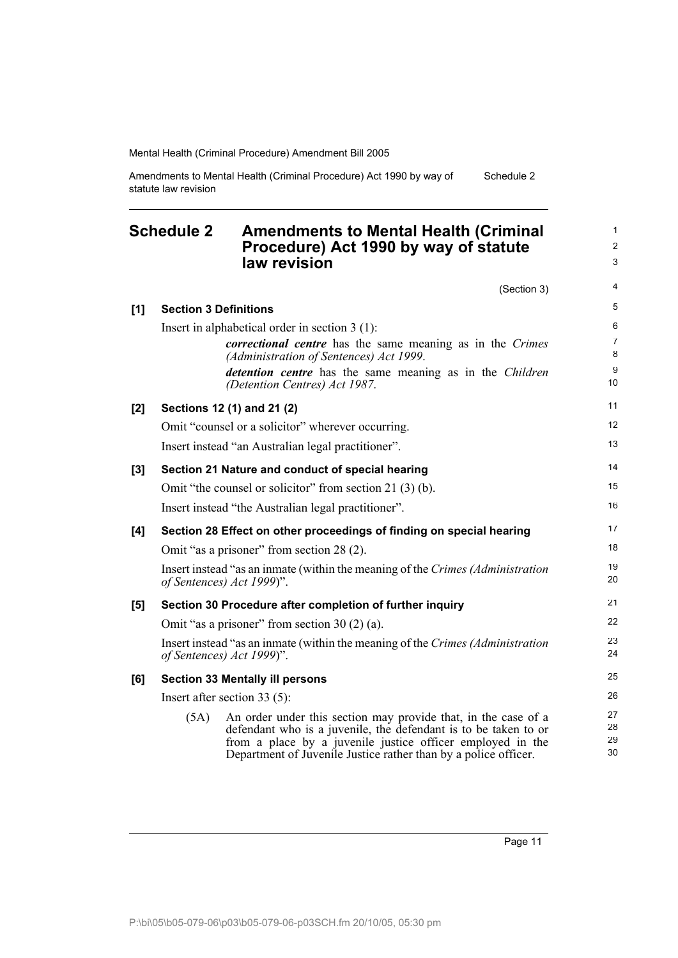Amendments to Mental Health (Criminal Procedure) Act 1990 by way of statute law revision Schedule 2

## **Schedule 2 Amendments to Mental Health (Criminal Procedure) Act 1990 by way of statute law revision**

 $(0, 1)$ 

1 2 3

|       | (Section 3)                                                                                                                                                                                                                                                                | 4                    |
|-------|----------------------------------------------------------------------------------------------------------------------------------------------------------------------------------------------------------------------------------------------------------------------------|----------------------|
| [1]   | <b>Section 3 Definitions</b>                                                                                                                                                                                                                                               | $\sqrt{5}$           |
|       | Insert in alphabetical order in section $3(1)$ :                                                                                                                                                                                                                           | 6                    |
|       | correctional centre has the same meaning as in the Crimes<br>(Administration of Sentences) Act 1999.                                                                                                                                                                       | $\overline{7}$<br>8  |
|       | detention centre has the same meaning as in the Children<br>(Detention Centres) Act 1987.                                                                                                                                                                                  | 9<br>10              |
| $[2]$ | Sections 12 (1) and 21 (2)                                                                                                                                                                                                                                                 | 11                   |
|       | Omit "counsel or a solicitor" wherever occurring.                                                                                                                                                                                                                          | 12                   |
|       | Insert instead "an Australian legal practitioner".                                                                                                                                                                                                                         | 13                   |
| $[3]$ | Section 21 Nature and conduct of special hearing                                                                                                                                                                                                                           | 14                   |
|       | Omit "the counsel or solicitor" from section 21 (3) (b).                                                                                                                                                                                                                   | 15                   |
|       | Insert instead "the Australian legal practitioner".                                                                                                                                                                                                                        | 16                   |
| [4]   | Section 28 Effect on other proceedings of finding on special hearing                                                                                                                                                                                                       | 17                   |
|       | Omit "as a prisoner" from section 28 (2).                                                                                                                                                                                                                                  | 18                   |
|       | Insert instead "as an inmate (within the meaning of the Crimes (Administration<br>of Sentences) Act 1999)".                                                                                                                                                                | 19<br>20             |
| $[5]$ | Section 30 Procedure after completion of further inquiry                                                                                                                                                                                                                   | 21                   |
|       | Omit "as a prisoner" from section 30 $(2)$ (a).                                                                                                                                                                                                                            | 22                   |
|       | Insert instead "as an inmate (within the meaning of the Crimes (Administration<br>of Sentences) Act 1999)".                                                                                                                                                                | 23<br>24             |
| [6]   | <b>Section 33 Mentally ill persons</b>                                                                                                                                                                                                                                     | 25                   |
|       | Insert after section $33(5)$ :                                                                                                                                                                                                                                             | 26                   |
|       | An order under this section may provide that, in the case of a<br>(5A)<br>defendant who is a juvenile, the defendant is to be taken to or<br>from a place by a juvenile justice officer employed in the<br>Department of Juvenile Justice rather than by a police officer. | 27<br>28<br>29<br>30 |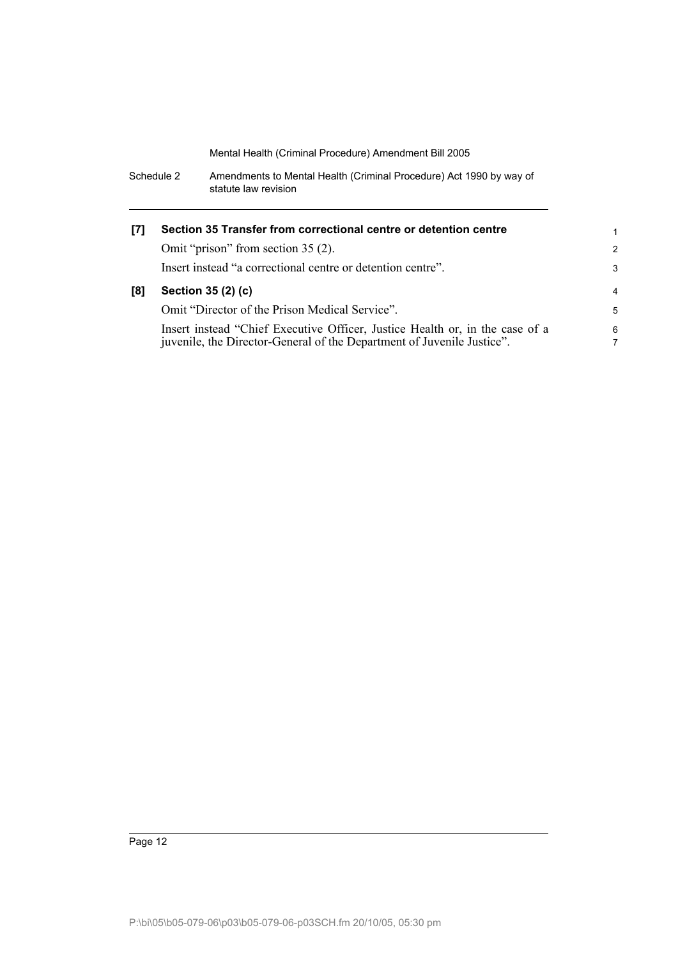Schedule 2 Amendments to Mental Health (Criminal Procedure) Act 1990 by way of statute law revision

| [7] | Section 35 Transfer from correctional centre or detention centre                                                                                       |                         |
|-----|--------------------------------------------------------------------------------------------------------------------------------------------------------|-------------------------|
|     | Omit "prison" from section 35 (2).                                                                                                                     | 2                       |
|     | Insert instead "a correctional centre or detention centre".                                                                                            | 3                       |
| [8] | Section 35 (2) (c)                                                                                                                                     | $\overline{\mathbf{4}}$ |
|     | Omit "Director of the Prison Medical Service".                                                                                                         | 5                       |
|     | Insert instead "Chief Executive Officer, Justice Health or, in the case of a<br>juvenile, the Director-General of the Department of Juvenile Justice". | 6                       |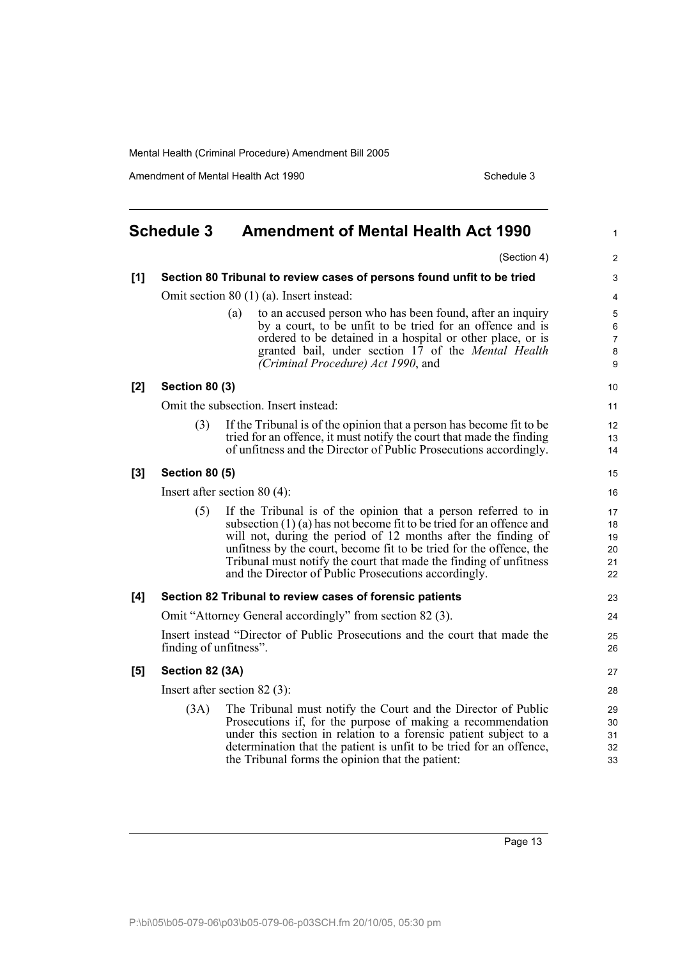Amendment of Mental Health Act 1990 Schedule 3

|     | <b>Schedule 3</b>      | <b>Amendment of Mental Health Act 1990</b>                                                                                                | 1                   |
|-----|------------------------|-------------------------------------------------------------------------------------------------------------------------------------------|---------------------|
|     |                        | (Section 4)                                                                                                                               | 2                   |
| [1] |                        | Section 80 Tribunal to review cases of persons found unfit to be tried                                                                    | 3                   |
|     |                        | Omit section 80 (1) (a). Insert instead:                                                                                                  | 4                   |
|     |                        | to an accused person who has been found, after an inquiry<br>(a)                                                                          | $\mathbf 5$         |
|     |                        | by a court, to be unfit to be tried for an offence and is<br>ordered to be detained in a hospital or other place, or is                   | 6<br>$\overline{7}$ |
|     |                        | granted bail, under section 17 of the Mental Health                                                                                       | $\bf 8$             |
|     |                        | (Criminal Procedure) Act 1990, and                                                                                                        | 9                   |
| [2] | <b>Section 80 (3)</b>  |                                                                                                                                           | 10                  |
|     |                        | Omit the subsection. Insert instead:                                                                                                      | 11                  |
|     | (3)                    | If the Tribunal is of the opinion that a person has become fit to be                                                                      | 12                  |
|     |                        | tried for an offence, it must notify the court that made the finding<br>of unfitness and the Director of Public Prosecutions accordingly. | 13<br>14            |
| [3] | <b>Section 80 (5)</b>  |                                                                                                                                           | 15                  |
|     |                        | Insert after section $80(4)$ :                                                                                                            | 16                  |
|     | (5)                    | If the Tribunal is of the opinion that a person referred to in                                                                            | 17                  |
|     |                        | subsection $(1)$ (a) has not become fit to be tried for an offence and<br>will not, during the period of 12 months after the finding of   | 18<br>19            |
|     |                        | unfitness by the court, become fit to be tried for the offence, the                                                                       | 20                  |
|     |                        | Tribunal must notify the court that made the finding of unfitness<br>and the Director of Public Prosecutions accordingly.                 | 21<br>22            |
| [4] |                        | Section 82 Tribunal to review cases of forensic patients                                                                                  | 23                  |
|     |                        | Omit "Attorney General accordingly" from section 82 (3).                                                                                  | 24                  |
|     | finding of unfitness". | Insert instead "Director of Public Prosecutions and the court that made the                                                               | 25<br>26            |
| [5] | Section 82 (3A)        |                                                                                                                                           | 27                  |
|     |                        | Insert after section $82(3)$ :                                                                                                            | 28                  |
|     | (3A)                   | The Tribunal must notify the Court and the Director of Public                                                                             | 29                  |
|     |                        | Prosecutions if, for the purpose of making a recommendation<br>under this section in relation to a forensic patient subject to a          | 30                  |
|     |                        | determination that the patient is unfit to be tried for an offence,                                                                       | 31<br>32            |
|     |                        | the Tribunal forms the opinion that the patient:                                                                                          | 33                  |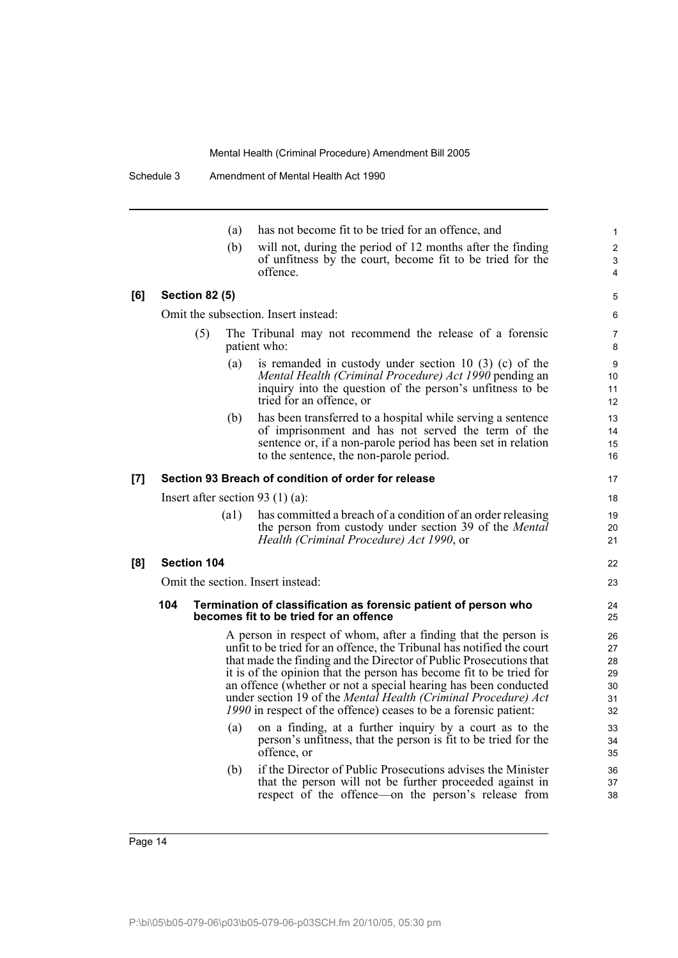|       |                       | (a)  | has not become fit to be tried for an offence, and                                                                                     | $\mathbf{1}$        |
|-------|-----------------------|------|----------------------------------------------------------------------------------------------------------------------------------------|---------------------|
|       |                       | (b)  | will not, during the period of 12 months after the finding                                                                             | $\boldsymbol{2}$    |
|       |                       |      | of unfitness by the court, become fit to be tried for the                                                                              | $\mathsf 3$         |
|       |                       |      | offence.                                                                                                                               | $\overline{4}$      |
| [6]   | <b>Section 82 (5)</b> |      |                                                                                                                                        | 5                   |
|       |                       |      | Omit the subsection. Insert instead:                                                                                                   | 6                   |
|       | (5)                   |      | The Tribunal may not recommend the release of a forensic<br>patient who:                                                               | $\overline{7}$<br>8 |
|       |                       | (a)  | is remanded in custody under section 10 $(3)$ (c) of the                                                                               | 9                   |
|       |                       |      | Mental Health (Criminal Procedure) Act 1990 pending an                                                                                 | 10                  |
|       |                       |      | inquiry into the question of the person's unfitness to be<br>tried for an offence, or                                                  | 11<br>12            |
|       |                       | (b)  | has been transferred to a hospital while serving a sentence                                                                            | 13                  |
|       |                       |      | of imprisonment and has not served the term of the                                                                                     | 14                  |
|       |                       |      | sentence or, if a non-parole period has been set in relation<br>to the sentence, the non-parole period.                                | 15<br>16            |
|       |                       |      |                                                                                                                                        |                     |
| $[7]$ |                       |      | Section 93 Breach of condition of order for release                                                                                    | 17                  |
|       |                       |      | Insert after section 93 $(1)$ (a):                                                                                                     | 18                  |
|       |                       | (al) | has committed a breach of a condition of an order releasing                                                                            | 19                  |
|       |                       |      | the person from custody under section 39 of the <i>Mental</i><br>Health (Criminal Procedure) Act 1990, or                              | 20<br>21            |
|       |                       |      |                                                                                                                                        |                     |
| [8]   | <b>Section 104</b>    |      |                                                                                                                                        | 22                  |
|       |                       |      | Omit the section. Insert instead:                                                                                                      | 23                  |
|       | 104                   |      | Termination of classification as forensic patient of person who<br>becomes fit to be tried for an offence                              | 24<br>25            |
|       |                       |      | A person in respect of whom, after a finding that the person is                                                                        | 26                  |
|       |                       |      | unfit to be tried for an offence, the Tribunal has notified the court                                                                  | 27                  |
|       |                       |      | that made the finding and the Director of Public Prosecutions that                                                                     | 28                  |
|       |                       |      | it is of the opinion that the person has become fit to be tried for<br>an offence (whether or not a special hearing has been conducted | 29<br>30            |
|       |                       |      | under section 19 of the Mental Health (Criminal Procedure) Act                                                                         | 31                  |
|       |                       |      | 1990 in respect of the offence) ceases to be a forensic patient:                                                                       | 32                  |
|       |                       | (a)  | on a finding, at a further inquiry by a court as to the                                                                                | 33                  |
|       |                       |      | person's unfitness, that the person is fit to be tried for the                                                                         | 34                  |
|       |                       |      | offence, or                                                                                                                            | 35                  |
|       |                       | (b)  | if the Director of Public Prosecutions advises the Minister                                                                            | 36                  |
|       |                       |      | that the person will not be further proceeded against in<br>respect of the offence—on the person's release from                        | 37<br>38            |
|       |                       |      |                                                                                                                                        |                     |
|       |                       |      |                                                                                                                                        |                     |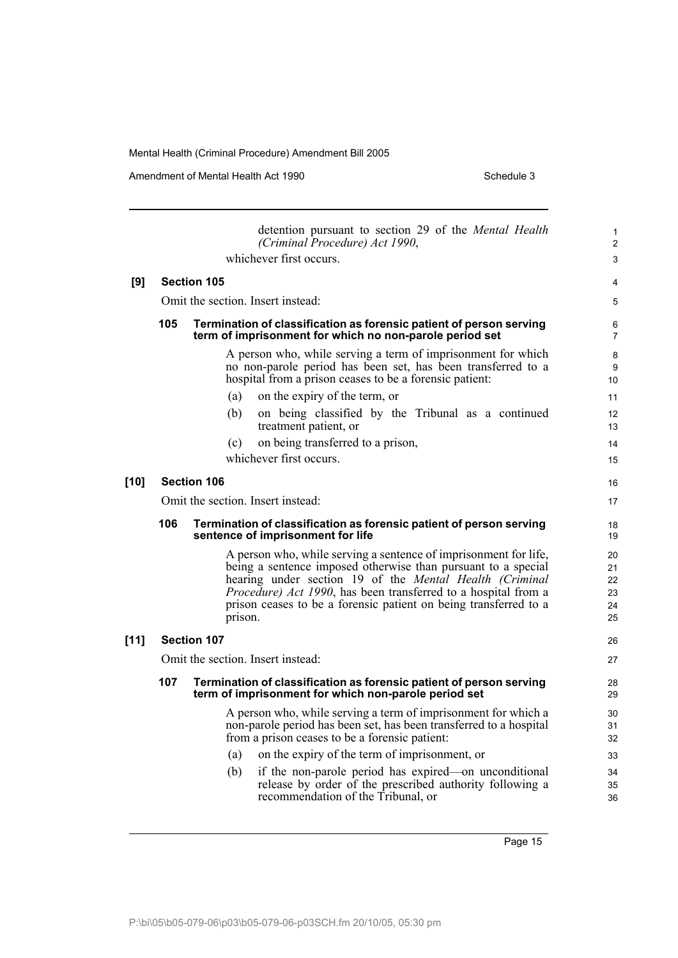Amendment of Mental Health Act 1990 Schedule 3

|        |     | detention pursuant to section 29 of the <i>Mental Health</i><br>(Criminal Procedure) Act 1990,                                                                                                                                                                                                                                                                                                                   | 1<br>$\overline{2}$                    |
|--------|-----|------------------------------------------------------------------------------------------------------------------------------------------------------------------------------------------------------------------------------------------------------------------------------------------------------------------------------------------------------------------------------------------------------------------|----------------------------------------|
|        |     | whichever first occurs.                                                                                                                                                                                                                                                                                                                                                                                          | 3                                      |
| [9]    |     | <b>Section 105</b>                                                                                                                                                                                                                                                                                                                                                                                               | $\overline{4}$                         |
|        |     | Omit the section. Insert instead:                                                                                                                                                                                                                                                                                                                                                                                | 5                                      |
|        | 105 | Termination of classification as forensic patient of person serving<br>term of imprisonment for which no non-parole period set                                                                                                                                                                                                                                                                                   | 6<br>7                                 |
|        |     | A person who, while serving a term of imprisonment for which<br>no non-parole period has been set, has been transferred to a<br>hospital from a prison ceases to be a forensic patient:                                                                                                                                                                                                                          | 8<br>9<br>10                           |
|        |     | on the expiry of the term, or<br>(a)                                                                                                                                                                                                                                                                                                                                                                             | 11                                     |
|        |     | on being classified by the Tribunal as a continued<br>(b)<br>treatment patient, or                                                                                                                                                                                                                                                                                                                               | 12<br>13                               |
|        |     | on being transferred to a prison,<br>(c)                                                                                                                                                                                                                                                                                                                                                                         | 14                                     |
|        |     | whichever first occurs.                                                                                                                                                                                                                                                                                                                                                                                          | 15                                     |
| $[10]$ |     | <b>Section 106</b>                                                                                                                                                                                                                                                                                                                                                                                               | 16                                     |
|        |     | Omit the section. Insert instead:                                                                                                                                                                                                                                                                                                                                                                                | 17                                     |
|        | 106 | Termination of classification as forensic patient of person serving<br>sentence of imprisonment for life                                                                                                                                                                                                                                                                                                         | 18<br>19                               |
|        |     | A person who, while serving a sentence of imprisonment for life,                                                                                                                                                                                                                                                                                                                                                 | 20                                     |
|        |     | being a sentence imposed otherwise than pursuant to a special<br>hearing under section 19 of the Mental Health (Criminal<br><i>Procedure) Act 1990</i> , has been transferred to a hospital from a<br>prison ceases to be a forensic patient on being transferred to a<br>prison.                                                                                                                                | 21<br>22<br>23<br>24<br>25             |
| $[11]$ |     | <b>Section 107</b>                                                                                                                                                                                                                                                                                                                                                                                               | 26                                     |
|        |     | Omit the section. Insert instead:                                                                                                                                                                                                                                                                                                                                                                                | 27                                     |
|        | 107 | Termination of classification as forensic patient of person serving<br>term of imprisonment for which non-parole period set                                                                                                                                                                                                                                                                                      | 28<br>29                               |
|        |     | A person who, while serving a term of imprisonment for which a<br>non-parole period has been set, has been transferred to a hospital<br>from a prison ceases to be a forensic patient:<br>on the expiry of the term of imprisonment, or<br>(a)<br>if the non-parole period has expired—on unconditional<br>(b)<br>release by order of the prescribed authority following a<br>recommendation of the Tribunal, or | 30<br>31<br>32<br>33<br>34<br>35<br>36 |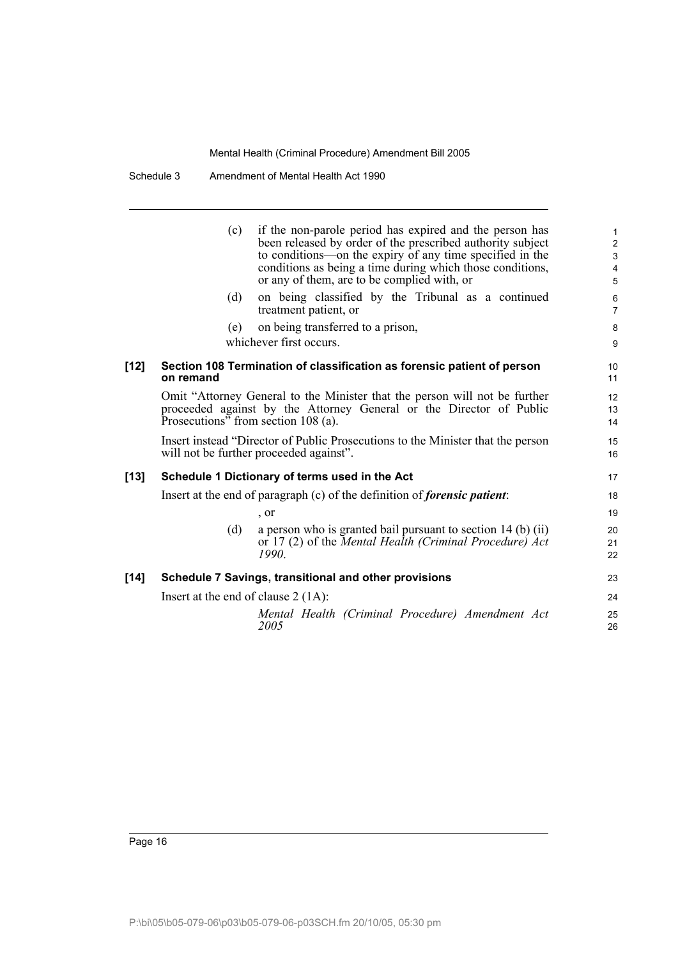|        | (c)                                                                                                                                                                                                   | if the non-parole period has expired and the person has<br>been released by order of the prescribed authority subject<br>to conditions—on the expiry of any time specified in the<br>conditions as being a time during which those conditions,<br>or any of them, are to be complied with, or | $\mathbf{1}$<br>$\overline{c}$<br>3<br>4<br>5 |
|--------|-------------------------------------------------------------------------------------------------------------------------------------------------------------------------------------------------------|-----------------------------------------------------------------------------------------------------------------------------------------------------------------------------------------------------------------------------------------------------------------------------------------------|-----------------------------------------------|
|        | (d)                                                                                                                                                                                                   | on being classified by the Tribunal as a continued<br>treatment patient, or                                                                                                                                                                                                                   | 6<br>$\overline{7}$                           |
|        | (e)                                                                                                                                                                                                   | on being transferred to a prison,                                                                                                                                                                                                                                                             | 8                                             |
|        |                                                                                                                                                                                                       | whichever first occurs.                                                                                                                                                                                                                                                                       | 9                                             |
| $[12]$ | Section 108 Termination of classification as forensic patient of person<br>on remand                                                                                                                  |                                                                                                                                                                                                                                                                                               | 10 <sup>1</sup><br>11                         |
|        | Omit "Attorney General to the Minister that the person will not be further<br>proceeded against by the Attorney General or the Director of Public<br>Prosecutions <sup>35</sup> from section 108 (a). |                                                                                                                                                                                                                                                                                               | 12<br>13<br>14                                |
|        | Insert instead "Director of Public Prosecutions to the Minister that the person<br>will not be further proceeded against".                                                                            |                                                                                                                                                                                                                                                                                               | 15<br>16                                      |
| $[13]$ | Schedule 1 Dictionary of terms used in the Act                                                                                                                                                        |                                                                                                                                                                                                                                                                                               | 17                                            |
|        | Insert at the end of paragraph (c) of the definition of <i>forensic patient</i> :                                                                                                                     |                                                                                                                                                                                                                                                                                               | 18                                            |
|        |                                                                                                                                                                                                       | , or                                                                                                                                                                                                                                                                                          | 19                                            |
|        | (d)                                                                                                                                                                                                   | a person who is granted bail pursuant to section $14$ (b) (ii)<br>or 17(2) of the Mental Health (Criminal Procedure) Act<br>1990.                                                                                                                                                             | 20<br>21<br>22                                |
| $[14]$ | Schedule 7 Savings, transitional and other provisions                                                                                                                                                 |                                                                                                                                                                                                                                                                                               | 23                                            |
|        | Insert at the end of clause $2(1A)$ :                                                                                                                                                                 |                                                                                                                                                                                                                                                                                               | 24                                            |
|        |                                                                                                                                                                                                       | Mental Health (Criminal Procedure) Amendment Act<br><i>2005</i>                                                                                                                                                                                                                               | 25<br>26                                      |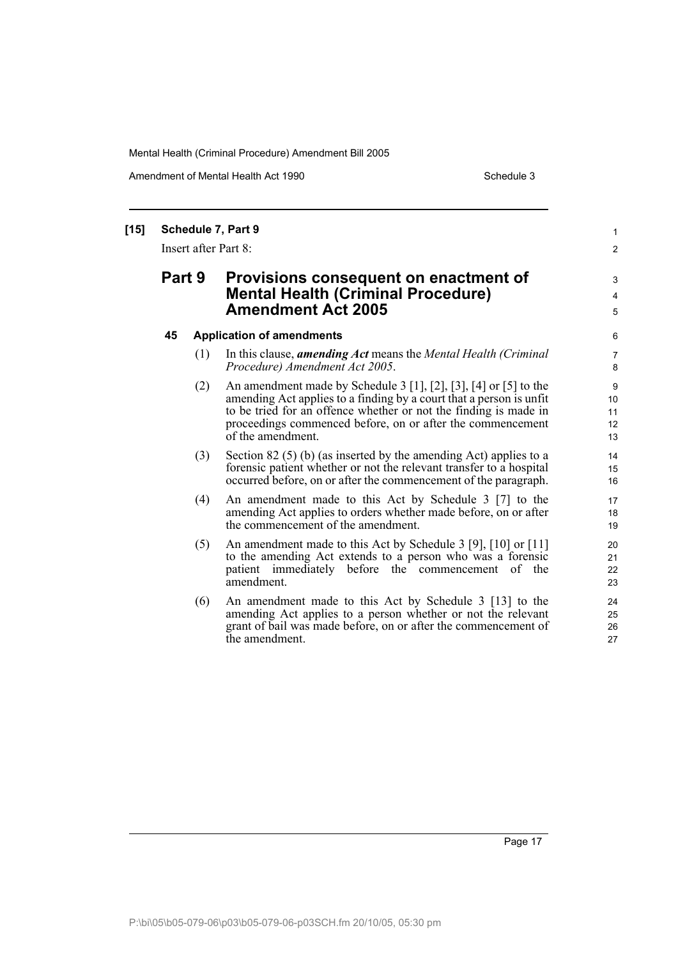Amendment of Mental Health Act 1990 Schedule 3

#### **[15] Schedule 7, Part 9** Insert after Part 8: **Part 9 Provisions consequent on enactment of Mental Health (Criminal Procedure) Amendment Act 2005 45 Application of amendments** (1) In this clause, *amending Act* means the *Mental Health (Criminal Procedure) Amendment Act 2005*. (2) An amendment made by Schedule 3 [1], [2], [3], [4] or [5] to the amending Act applies to a finding by a court that a person is unfit to be tried for an offence whether or not the finding is made in proceedings commenced before, on or after the commencement of the amendment. (3) Section 82 (5) (b) (as inserted by the amending Act) applies to a forensic patient whether or not the relevant transfer to a hospital occurred before, on or after the commencement of the paragraph. (4) An amendment made to this Act by Schedule 3 [7] to the amending Act applies to orders whether made before, on or after the commencement of the amendment. (5) An amendment made to this Act by Schedule 3 [9], [10] or [11] to the amending Act extends to a person who was a forensic patient immediately before the commencement of the amendment. (6) An amendment made to this Act by Schedule 3 [13] to the amending Act applies to a person whether or not the relevant grant of bail was made before, on or after the commencement of the amendment. 1 2 3 4 5 6 7 8 9 10 11 12 13 14 15 16 17 18 19  $20$ 21 22 23 24 25 26 27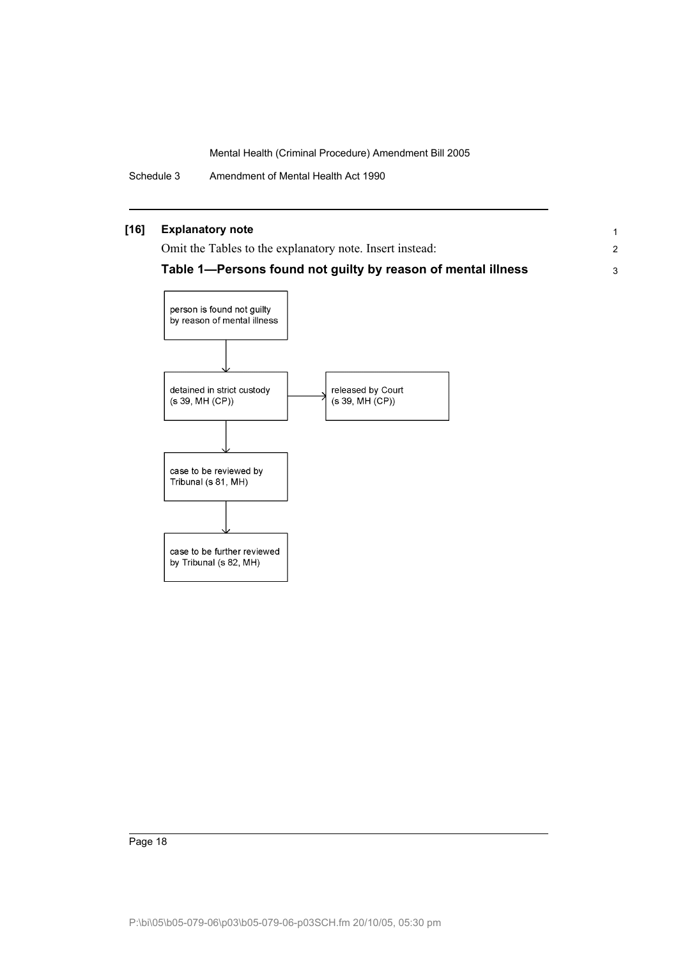Schedule 3 Amendment of Mental Health Act 1990

## **[16] Explanatory note**

Omit the Tables to the explanatory note. Insert instead:

## **Table 1—Persons found not guilty by reason of mental illness**

1 2 3

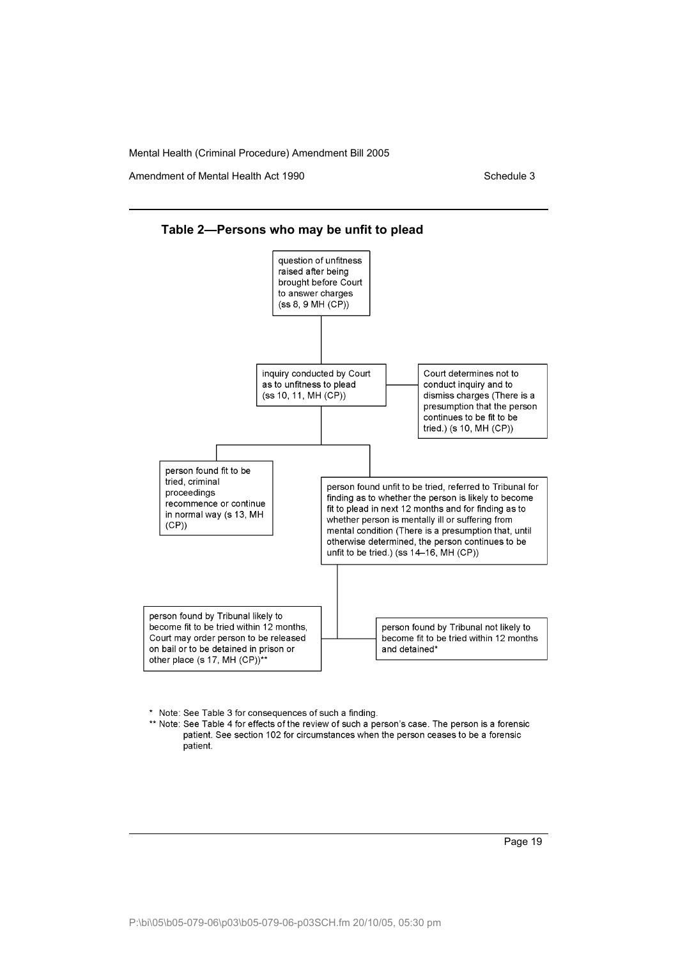Amendment of Mental Health Act 1990 Schedule 3





\* Note: See Table 3 for consequences of such a finding.

\*\* Note: See Table 4 for effects of the review of such a person's case. The person is a forensic patient. See section 102 for circumstances when the person ceases to be a forensic patient.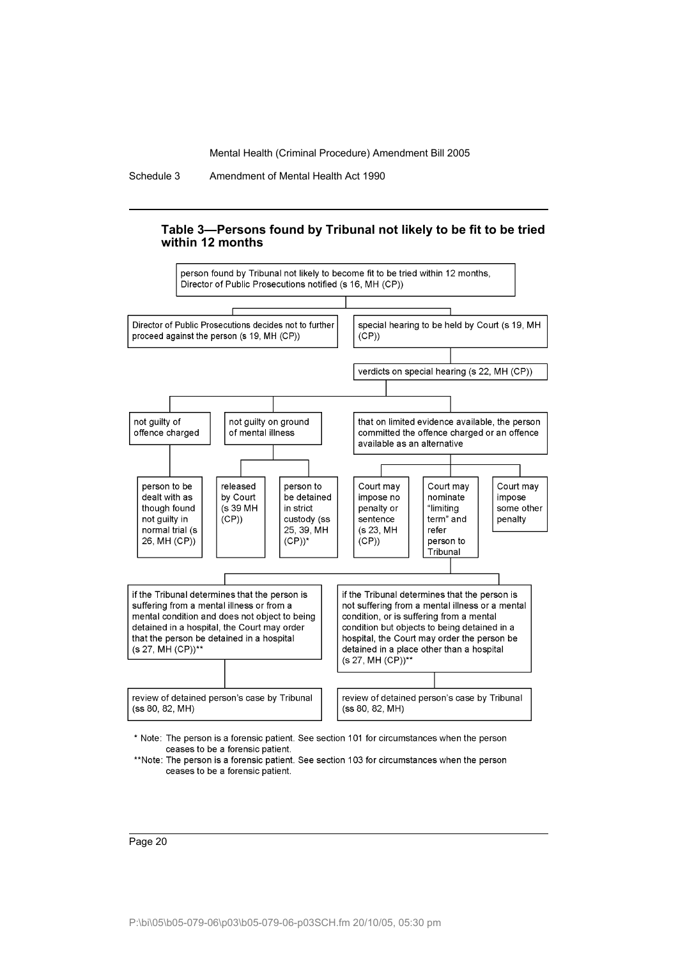Schedule 3 Amendment of Mental Health Act 1990

### **Table 3—Persons found by Tribunal not likely to be fit to be tried within 12 months**



\* Note: The person is a forensic patient. See section 101 for circumstances when the person ceases to be a forensic patient.

\*\*Note: The person is a forensic patient. See section 103 for circumstances when the person ceases to be a forensic patient.